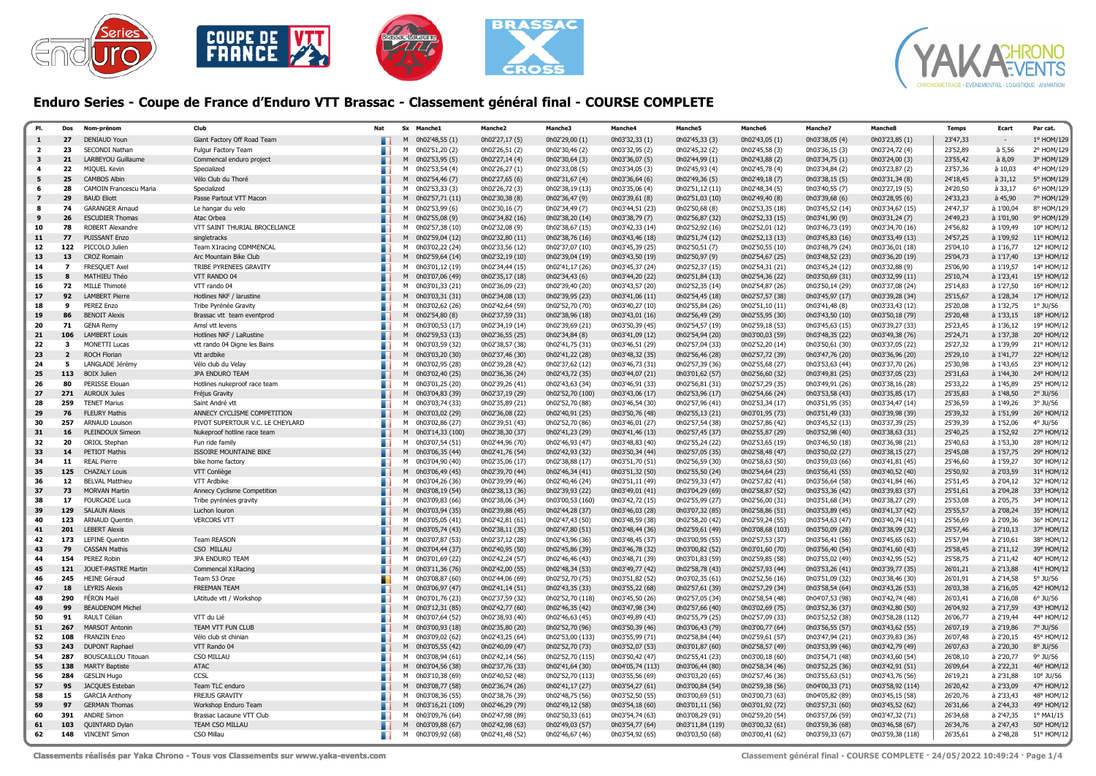



## Enduro Series - Coupe de France d'Enduro VTT Brassac - Classement général final - COURSE COMPLETE

| PI.              | Dos                      | Nom-prénon                                   | Clut                                        | Nat | <b>Sx</b><br><b>Manche1</b>                  | Manche <sub>2</sub>                | Manche3                            | Manche4                            | Manche5                            | Manche6                            | Manche7                            | <b>Manche&amp;</b>                 | <b>Temps</b>         | Ecart                  | Par cat.                 |
|------------------|--------------------------|----------------------------------------------|---------------------------------------------|-----|----------------------------------------------|------------------------------------|------------------------------------|------------------------------------|------------------------------------|------------------------------------|------------------------------------|------------------------------------|----------------------|------------------------|--------------------------|
| $\mathbf{1}$     | 27                       | <b>DENIAUD Youn</b>                          | Giant Factory Off Road Team                 |     | 0h02'48,55 (1)<br>M                          | 0h02'27,17 (5)                     | 0h02'29,00 (1)                     | 0h03'32,33 (1)                     | 0h02'45,33 (3)                     | 0h02'43,05 (1)                     | 0h03'38,05 (4)                     | 0h03'23,85 (1)                     | 23'47,33             | $\sim$                 | 1° HOM/129               |
| $\mathbf{z}$     | 23                       | SECONDI Nathan                               | Fulgur Factory Team                         |     | M<br>0h02'51,20 (2)                          | 0h02'26,51 (2)                     | 0h02'30,46 (2)                     | 0h03'32,95 (2)                     | 0h02'45,32 (2)                     | 0h02'45,58 (3)                     | 0h03'36,15 (3)                     | 0h03'24,72 (4)                     | 23'52,89             | $a$ 5.56               | 2° HOM/129               |
| 3                | 21                       | LARBEYOU Guillaume                           | Commencal enduro project                    |     | M<br>0h02'53,95 (5)                          | 0h02'27,14 (4)                     | 0h02'30,64 (3)                     | 0h03'36,07 (5)                     | 0h02'44,99 (1)                     | 0h02'43,88 (2)                     | 0h03'34,75 (1)                     | 0h03'24,00 (3)                     | 23'55,42             | a 8,09                 | 3° HOM/129               |
|                  | 22                       | MIQUEL Kevin                                 | Specialized                                 |     | 0h02'53,54 (4)<br>M                          | 0h02'26,27 (1)                     | 0h02'33,08 (5)                     | 0h03'34,05 (3)                     | 0h02'45,93 (4)                     | 0h02'45,78 (4)                     | 0h03'34,84 (2)                     | 0h03'23,87 (2)                     | 23'57,36             | à 10,03                | 4° HOM/129               |
| 5                | 25                       | <b>CAMBOS Albin</b>                          | Vélo Club du Thoré                          |     | 0h02'54,46 (7)<br>M                          | 0h02'27,65 (6)                     | 0h02'31,67 (4)                     | 0h03'36,64 (6)                     | 0h02'49,36 (5)                     | 0h02'49,18 (7)                     | 0h03'38,15 (5)                     | 0h03'31,34 (8)                     | 24'18,45             | $a$ 31,12              | 5° HOM/129               |
| -6               | 28                       | CAMOIN Francescu Maria                       | Specialized                                 | . . | M<br>0h02'53,33 (3)                          | 0h02'26,72 (3)                     | 0h02'38,19 (13)                    | 0h03'35,06 (4)                     | 0h02'51,12 (11)                    | 0h02'48,34 (5)                     | 0h03'40,55 (7)                     | 0h03'27,19 (5)                     | 24'20,50             | à 33,17                | 6° HOM/129               |
|                  | 29                       | <b>BAUD Eliott</b>                           | Passe Partout VTT Macon                     |     | 0h02'57,71 (11)<br>M                         | 0h02'30,38 (8)                     | 0h02'36,47 (9)                     | 0h03'39,61 (8)                     | 0h02'51,03 (10)                    | 0h02'49,40 (8)                     | 0h03'39,68 (6)                     | 0h03'28,95 (6)                     | 24'33,23             | $a$ 45,90              | 7° HOM/129               |
| я                | 74                       | <b>GARANGER Arnaud</b>                       | Le hangar du velo                           |     | 0h02'53,99 (6)<br>M                          | 0h02'30,16 (7)                     | 0h02'34,49 (7)                     | 0h03'44,51 (23)                    | 0h02'50,68 (8)                     | 0h02'53,35 (18)                    | 0h03'45,52 (14)                    | 0h03'34,67 (15)                    | 24'47,37             | à 1'00.04              | 8° HOM/129               |
| 9                | 26                       | <b>ESCUDIER Thomas</b>                       | Atac Orbea                                  |     | M 0h02'55,08 (9)                             | 0h02'34,82 (16)                    | 0h02'38,20 (14)                    | 0h03'38,79 (7)                     | 0h02'56,87 (32)                    | 0h02'52,33 (15)                    | 0h03'41,90 (9)                     | 0h03'31,24 (7)                     | 24'49,23             | à 1'01,90              | 9° HOM/129               |
| 10               | 78                       | <b>ROBERT Alexandre</b>                      | VTT SAINT THURIAL BROCELIANCE               |     | M<br>0h02'57,38 (10)                         | 0h02'32,08 (9)                     | 0h02'38,67 (15)                    | 0h03'42,33 (14)                    | 0h02'52,92 (16)                    | 0h02'52,01 (12)                    | 0h03'46,73 (19)                    | 0h03'34,70 (16)                    | 24'56,82             | à 1'09,49              | 10° HOM/12               |
| $11$             | 77                       | PUISSANT Enzo                                | singletracks                                |     | 0h02'59,04 (12)<br>M                         | 0h02'32,80 (11)                    | 0h02'38,76 (16)                    | 0h03'43,46 (18)                    | 0h02'51,74 (12)                    | 0h02'52,13 (13)                    | 0h03'45,83 (16)                    | 0h03'33,49 (13)                    | 24'57,25             | à 1'09,92              | 11° HOM/12               |
| 12               | 122                      | PICCOLO Julien                               | Team X1racing COMMENCAL                     | . . | 0h03'02,22 (24)<br>м                         | 0h02'33,56 (12)                    | 0h02'37,07 (10)                    | 0h03'45,39 (25)                    | 0h02'50,51 (7)                     | 0h02'50,55 (10)                    | 0h03'48,79 (24)                    | 0h03'36,01 (18)                    | 25'04,10             | à 1'16,77              | 12° HOM/12               |
| 13               | 13                       | <b>CROZ Romain</b>                           | Arc Mountain Bike Club                      |     | 0h02'59,64 (14)<br>M                         | 0h02'32,19 (10)                    | 0h02'39,04 (19)                    | 0h03'43,50 (19)                    | 0h02'50,97 (9)                     | 0h02'54,67 (25)                    | 0h03'48,52 (23)                    | 0h03'36,20 (19)                    | 25'04,73             | à 1'17,40              | 13° HOM/12               |
| 14               | $\overline{\phantom{a}}$ | FRESQUET Axel                                | TRIBE PYRENEES GRAVITY                      |     | 0h03'01,12 (19)<br>M                         | 0h02'34,44 (15)                    | 0h02'41,17 (26)                    | 0h03'45,37 (24)                    | 0h02'52,37 (15)                    | 0h02'54,31 (21)                    | 0h03'45,24 (12)                    | 0h03'32,88 (9)                     | 25'06,90             | à 1'19,57              | 14° HOM/12               |
| 15               | 8                        | MATHIEU Théo                                 | VTT RANDO 04                                |     | M 0h03'07,06 (49)                            | 0h02'35,17 (18)                    | 0h02'34,43 (6)                     | 0h03'44,20 (22)                    | 0h02'51,84 (13)                    | 0h02'54,36 (22)                    | 0h03'50,69 (31)                    | 0h03'32,99 (11)                    | 25'10,74             | à 1'23,41              | 15° HOM/12               |
| 16               | 72                       | MILLE Thimoté                                | VTT rando 04                                |     | M<br>0h03'01,33 (21)                         | 0h02'36,09 (23)                    | 0h02'39,40 (20)                    | 0h03'43,57 (20)                    | 0h02'52,35 (14)                    | 0h02'54,87 (26)                    | 0h03'50,14 (29)                    | 0h03'37,08 (24)                    | 25'14,83             | à 1'27,50              | 16° HOM/12               |
| 17               | 92                       | <b>LAMBERT Pierre</b>                        | Hotlines NKF / larustine                    |     | 0h03'03,31 (31)<br>M                         | 0h02'34,08 (13)                    | 0h02'39,95 (23)                    | 0h03'41,06 (11)                    | 0h02'54,45 (18)                    | 0h02'57,57 (38)                    | 0h03'45,97 (17)                    | 0h03'39,28 (34)                    | 25'15,67             | à 1'28,34              | 17° HOM/12               |
| 18               | $\mathbf{q}$             | PEREZ Enzo                                   | Tribe Pyrénée Gravity                       |     | 0h03'02,62 (26)<br>м                         | 0h02'42,64 (59)                    | 0h02'52,70 (70)                    | 0h03'40,27 (10)                    | 0h02'55,84 (26)                    | 0h02'51,10 (11)                    | 0h03'41,48 (8)                     | 0h03'33,43 (12)                    | 25'20,08             | à 1'32,75              | 1° JU/56                 |
| 19               | 86                       | <b>BENOIT Alexis</b>                         | Brassac vtt team eventprod                  |     | 0h02'54,80 (8)<br>M                          | 0h02'37,59 (31)                    | 0h02'38,96 (18)                    | 0h03'43,01 (16)                    | 0h02'56,49 (29)                    | 0h02'55,95 (30)                    | 0h03'43,50 (10)                    | 0h03'50,18 (79)                    | 25'20,48             | à 1'33.15              | 18° HOM/12               |
| 20               | 71<br>106                | <b>GENA Remy</b>                             | Amsl vtt levens                             |     | 0h03'00,53 (17)<br>M                         | 0h02'34,19 (14)                    | 0h02'39,69 (21)                    | 0h03'50,39 (45)                    | 0h02'54,57 (19)                    | 0h02'59,18 (53)                    | 0h03'45,63 (15)                    | 0h03'39,27 (33)                    | 25'23,45<br>25'24,71 | à 1'36,12              | 19° HOM/12<br>20° HOM/12 |
| ${\bf 21}$<br>22 | $\overline{\mathbf{3}}$  | <b>LAMBERT Louis</b><br><b>MONETTI Lucas</b> | Hotlines NKF / LaRustine                    |     | M<br>0h02'59,53 (13)<br>0h03'03,59 (32)<br>M | 0h02'36,55 (25)<br>0h02'38,57 (38) | 0h02'34,84 (8)<br>0h02'41,75 (31)  | 0h03'41,09 (12)<br>0h03'46,51 (29) | 0h02'54,94 (20)<br>0h02'57,04 (33) | 0h03'00,03 (59)<br>0h02'52,20 (14) | 0h03'48,35 (22)<br>0h03'50,61 (30) | 0h03'49,38 (76)<br>0h03'37,05 (22) | 25'27,32             | à 1'37,38<br>à 1'39,99 | 21° HOM/12               |
| 23               | $\overline{2}$           | <b>ROCH Florian</b>                          | vtt rando 04 Digne les Bains<br>Vtt ardbike |     | 0h03'03,20 (30)<br>M                         | 0h02'37,46 (30)                    | 0h02'41,22 (28)                    | 0h03'48,32 (35)                    | 0h02'56,46 (28)                    | 0h02'57,72 (39)                    | 0h03'47,76 (20)                    | 0h03'36,96 (20)                    | 25'29,10             | à 1'41,77              | 22° HOM/12               |
| 24               | 5                        | LANGLADE Jérémy                              | Vélo club du Velay                          |     | 0h03'02,95 (28)<br>м                         | 0h02'39,28 (42)                    | 0h02'37,62 (12)                    | 0h03'46,73 (31)                    | 0h02'57,39 (36)                    | 0h02'55,68 (27)                    | 0h03'53,63 (44)                    | 0h03'37,70 (26)                    | 25'30,98             | à 1'43,65              | 23° HOM/12               |
| 25               | 113                      | <b>BOIX Julien</b>                           | JPA ENDURO TEAM                             |     | 0h03'02,40 (25)<br>M                         | 0h02'36,36 (24)                    | 0h02'43,72 (35)                    | 0h03'44,07 (21)                    | 0h03'01,62 (57)                    | 0h02'56,60 (32)                    | 0h03'49,81 (25)                    | 0h03'37,05 (23)                    | 25'31,63             | à 1'44,30              | 24° HOM/12               |
| 26               | 80                       | PERISSE Elouan                               | Hotlines nukeproof race team                |     | M<br>0h03'01,25 (20)                         | 0h02'39,26 (41)                    | 0h02'43,63 (34)                    | 0h03'46,91 (33)                    | 0h02'56,81 (31)                    | 0h02'57,29 (35)                    | 0h03'49,91 (26)                    | 0h03'38,16 (28)                    | 25'33,22             | à 1'45,89              | 25° HOM/12               |
| 27               | 271                      | <b>AUROUX Jules</b>                          | Fréjus Gravity                              |     | 0h03'04,83 (39)<br>M                         | 0h02'37,19 (29)                    | 0h02'52,70 (100)                   | 0h03'43,06 (17)                    | 0h02'53,96 (17)                    | 0h02'54,66 (24)                    | 0h03'53,58 (43)                    | 0h03'35,85 (17)                    | 25'35,83             | à 1'48,50              | $2°$ JU/56               |
| 28               | 259                      | <b>TENET Marius</b>                          | Saint André vtt                             |     | 0h03'03,74 (33)<br>M                         | 0h02'35,89 (21)                    | 0h02'52,70 (88)                    | 0h03'46,54 (30)                    | 0h02'57,96 (41)                    | 0h02'53,34 (17)                    | 0h03'51,95 (35)                    | 0h03'34,47 (14)                    | 25'36,59             | à 1'49,26              | 3° JU/56                 |
| 29               | 76                       | <b>FLEURY Mathis</b>                         | ANNECY CYCLISME COMPETITION                 |     | 0h03'03,02 (29)<br>M                         | 0h02'36,08 (22)                    | 0h02'40,91 (25)                    | 0h03'50,76 (48)                    | 0h02'55,13 (21)                    | 0h03'01,95 (73)                    | 0h03'51,49 (33)                    | 0h03'39,98 (39)                    | 25'39,32             | à 1'51,99              | 26° HOM/12               |
| 30               | 257                      | ARNAUD Louison                               | PIVOT SUPERTOUR V.C. LE CHEYLARD            |     | 0h03'02,86 (27)<br>м                         | 0h02'39,51 (43)                    | 0h02'52,70 (86)                    | 0h03'46,01 (27)                    | 0h02'57,54 (38)                    | 0h02'57,86 (42)                    | 0h03'45,52 (13)                    | 0h03'37,39 (25)                    | 25'39,39             | à 1'52,06              | 4° JU/56                 |
| 31               | 16                       | PLEINDOUX Simeon                             | Nukeproof hotline race team                 |     | 0h03'14,33 (100)<br>M                        | 0h02'38,30 (37)                    | 0h02'41,23 (29)                    | 0h03'41,46 (13)                    | 0h02'57,45 (37)                    | 0h02'55,87 (29)                    | 0h03'52,98 (40)                    | 0h03'38,63 (31)                    | 25'40,25             | à 1'52,92              | 27° HOM/12               |
| 32               | 20                       | <b>ORIOL Stephan</b>                         | Fun ride family                             | ш.  | M 0h03'07,54 (51)                            | 0h02'44,96 (70)                    | 0h02'46,93 (47)                    | 0h03'48,83 (40)                    | 0h02'55,24 (22)                    | 0h02'53,65 (19)                    | 0h03'46,50 (18)                    | 0h03'36,98 (21)                    | 25'40,63             | à 1'53,30              | 28° HOM/12               |
| 33               | 14                       | <b>PETIOT Mathis</b>                         | <b>ISSOIRE MOUNTAINE BIKE</b>               |     | 0h03'06,35 (44)<br>M                         | 0h02'41,76 (54)                    | 0h02'42,93 (32)                    | 0h03'50,34 (44)                    | 0h02'57,05 (35)                    | 0h02'58,48 (47)                    | 0h03'50,02 (27)                    | 0h03'38,15 (27)                    | 25'45,08             | à 1'57,75              | 29° HOM/12               |
| 34               | 11                       | <b>REAL Pierre</b>                           | bike home factory                           |     | 0h03'04,90 (40)<br>м                         | 0h02'35,06 (17)                    | 0h02'38,88 (17)                    | 0h03'51,70 (51)                    | 0h02'56,59 (30)                    | 0h02'58,63 (50)                    | 0h03'59,03 (66)                    | 0h03'41,81 (45)                    | 25'46,60             | à 1'59,27              | 30° HOM/12               |
| 35               | 125                      | <b>CHAZALY Louis</b>                         | VTT Conliège                                |     | M<br>0h03'06,49 (45)                         | 0h02'39,70 (44)                    | 0h02'46,34 (41)                    | 0h03'51,32 (50)                    | 0h02'55,50 (24)                    | 0h02'54,64 (23)                    | 0h03'56,41 (55)                    | 0h03'40,52 (40)                    | 25'50,92             | à 2'03.59              | 31° HOM/12               |
| 36               | 12                       | <b>BELVAL Matthieu</b>                       | VTT Ardbike                                 |     | 0h03'04,26 (36)<br>м                         | 0h02'39,99 (46)                    | 0h02'40,46 (24)                    | 0h03'51,11 (49)                    | 0h02'59,33 (47)                    | 0h02'57,82 (41)                    | 0h03'56,64 (58)                    | 0h03'41,84 (46)                    | 25'51,45             | à 2'04,12              | 32° HOM/12               |
| 37               | 73                       | <b>MORVAN Martin</b>                         | Annecy Cyclisme Competition                 |     | M<br>0h03'08,19 (54)                         | 0h02'38,13 (36)                    | 0h02'39,93 (22)                    | 0h03'49,01 (41)                    | 0h03'04,29 (69)                    | 0h02'58,87 (52)                    | 0h03'53,36 (42)                    | 0h03'39,83 (37)                    | 25'51,61             | à 2'04,28              | 33° HOM/12               |
| 38               | 17                       | <b>FOURCADE Luca</b>                         | Tribe pyrénées gravity                      |     | M 0h03'09,83 (66)                            | 0h02'38,06 (34)                    | 0h03'00,53 (160)                   | 0h03'42,72 (15)                    | 0h02'55,99 (27)                    | 0h02'56,00 (31)                    | 0h03'51,68 (34)                    | 0h03'38,27 (29)                    | 25'53,08             | à 2'05,75              | 34° HOM/12               |
| 39               | 129                      | <b>SALAUN Alexis</b>                         | Luchon louron                               |     | M<br>0h03'03,94 (35)                         | 0h02'39,88 (45)                    | 0h02'44,28 (37)                    | 0h03'46,03 (28)                    | 0h03'07,32 (85)                    | 0h02'58,86 (51)                    | 0h03'53,89 (45)                    | 0h03'41,37 (42)                    | 25'55,57             | à 2'08,24              | 35° HOM/12               |
| 40               | 123                      | <b>ARNAUD Quentin</b>                        | <b>VERCORS VTT</b>                          |     | 0h03'05,05 (41)<br>м                         | 0h02'42,81 (61)                    | 0h02'47,43 (50)                    | 0h03'48,59 (38)                    | 0h02'58,20 (42)                    | 0h02'59,24 (55)                    | 0h03'54,63 (47)                    | 0h03'40,74 (41)                    | 25'56,69             | à 2'09,36              | 36° HOM/12               |
| 41               | 201                      | <b>LEBERT Alexis</b>                         |                                             |     | M<br>0h03'05,74 (43)                         | 0h02'38,11 (35)                    | 0h02'47,80 (51)                    | 0h03'48,44 (36)                    | 0h02'59,61 (49)                    | 0h03'08,68 (103)                   | 0h03'50,09 (28)                    | 0h03'38,99 (32)                    | 25'57,46             | à 2'10,13              | 37° HOM/12               |
| 42               | 173                      | <b>LEPINE Quentin</b>                        | <b>Team REASON</b><br>CSO MILLAU            |     | M<br>0h03'07,87 (53)                         | 0h02'37,12 (28)                    | 0h02'43,96 (36)                    | 0h03'48,45 (37)                    | 0h03'00,95 (55)                    | 0h02'57,53 (37)                    | 0h03'56,41 (56)                    | 0h03'45,65 (63)                    | 25'57,94             | à 2'10.61              | 38° HOM/12               |
| 43<br>44         | 79<br>154                | <b>CASSAN Mathis</b><br>PEREZ Robin          | JPA ENDURO TEAM                             |     | M 0h03'04,44 (37)<br>0h03'01,69 (22)<br>M    | 0h02'40,95 (50)<br>0h02'42,24 (57) | 0h02'45,86 (39)<br>0h02'46,46 (43) | 0h03'46,78 (32)<br>0h03'48,71 (39) | 0h03'00,82 (52)<br>0h03'01,83 (59) | 0h03'01,60 (70)<br>0h02'59,85 (58) | 0h03'56,40 (54)<br>0h03'55,02 (49) | 0h03'41,60 (43)<br>0h03'42,95 (52) | 25'58,45<br>25'58,75 | à 2'11,12<br>à 2'11,42 | 39° HOM/12<br>40° HOM/12 |
| 45               | 121                      | JOUET-PASTRE Martin                          | Commencal X1Racing                          |     | 0h03'11,36 (76)<br>M                         | 0h02'42,00 (55)                    | 0h02'48,34 (53)                    | 0h03'49,77 (42)                    | 0h02'58,78 (43)                    | 0h02'57,93 (44)                    | 0h03'53,26 (41)                    | 0h03'39,77 (35)                    | 26'01,21             | à 2'13.88              | 41° HOM/12               |
| 46               | 245                      | <b>HEINE Géraud</b>                          | Team 53 Onze                                | ш.  | 0h03'08,87 (60)<br>M                         | 0h02'44,06 (69)                    | 0h02'52,70 (75)                    | 0h03'51,82 (52)                    | 0h03'02,35 (61)                    | 0h02'52,56 (16)                    | 0h03'51,09 (32)                    | 0h03'38,46 (30)                    | 26'01,91             | à 2'14,58              | 5° JU/56                 |
| 47               | 18                       | <b>LEYRIS Alexis</b>                         | <b>FREEMAN TEAM</b>                         |     | 0h03'06,97 (47)<br>M                         | 0h02'41,14 (51)                    | 0h02'43,35 (33)                    | 0h03'55,22 (68)                    | 0h02'57,61 (39)                    | 0h02'57,29 (34)                    | 0h03'58,54 (64)                    | 0h03'43,26 (53)                    | 26'03,38             | à 2'16,05              | 42° HOM/12               |
| 48               | 290                      | <b>FÉRON Maël</b>                            | LAtitude vtt / Workshop                     |     | 0h03'01,76 (23)<br>м                         | 0h02'37,59 (32)                    | 0h02'52,70 (118)                   | 0h03'45,50 (26)                    | 0h02'57,05 (34)                    | 0h02'58,54 (48)                    | 0h04'07,53 (98)                    | 0h03'42,74 (48)                    | 26'03,41             | à 2'16,08              | $6^{\circ}$ JU/56        |
| 49               | 99                       | <b>BEAUDENOM Michel</b>                      |                                             |     | M 0h03'12,31 (85)                            | 0h02'42,77 (60)                    | 0h02'46,35 (42)                    | 0h03'47,98 (34)                    | 0h02'57,66 (40)                    | 0h03'02,69 (75)                    | 0h03'52,36 (37)                    | 0h03'42,80 (50)                    | 26'04,92             | à 2'17,59              | 43° HOM/12               |
| 50               | 91                       | RAULT Célian                                 | VTT du Lié                                  |     | м<br>0h03'07,64 (52)                         | 0h02'38,93 (40)                    | 0h02'46,63 (45)                    | 0h03'49,89 (43)                    | 0h02'55,79 (25)                    | 0h02'57,09 (33)                    | 0h03'52,52 (38)                    | 0h03'58,28 (112)                   | 26'06,77             | à 2'19,44              | 44° HOM/12               |
| 51               | 267                      | <b>MARSOT Antonin</b>                        | TEAM VTT FUN CLUB                           |     | 0h03'00,93 (18)<br>M                         | 0h02'35,80 (20)                    | 0h02'52,70 (96)                    | 0h03'50,39 (46)                    | 0h03'06,43 (79)                    | 0h03'00,77 (64)                    | 0h03'56,55 (57)                    | 0h03'43,62 (55)                    | 26'07,19             | à 2'19,86              | 7° JU/56                 |
| 52               | 108                      | <b>FRANZIN Enzo</b>                          | Vélo club st chinian                        |     | 0h03'09,02 (62)<br>M                         | 0h02'43,25 (64)                    | 0h02'53,00 (133)                   | 0h03'55,99 (71)                    | 0h02'58,84 (44)                    | 0h02'59,61 (57)                    | 0h03'47,94 (21)                    | 0h03'39,83 (36)                    | 26'07,48             | à 2'20,15              | 45° HOM/12               |
| 53               | 243                      | <b>DUPONT Raphael</b>                        | VTT Rando 04                                |     | 0h03'05,55 (42)<br>M                         | 0h02'40,09 (47)                    | 0h02'52,70 (73)                    | 0h03'52,07 (53)                    | 0h03'01,87 (60)                    | 0h02'58,57 (49)                    | 0h03'53,99 (46)                    | 0h03'42,79 (49)                    | 26'07,63             | à 2'20,30              | $8°$ JU/56               |
| 54               | 287                      | <b>BOUSCAILLOU Titouan</b>                   | CSO MILLAU                                  |     | M<br>0h03'08,94 (61)                         | 0h02'42,14 (56)                    | 0h02'52,70 (115)                   | 0h03'50,42 (47)                    | 0h02'55,41 (23)                    | 0h03'00,18 (60)                    | 0h03'54,71 (48)                    | 0h03'43,60 (54)                    | 26'08,10             | à 2'20,77              | 9° JU/56                 |
| 55               | 138                      | <b>MARTY Baptiste</b>                        | <b>ATAC</b>                                 |     | M 0h03'04,56 (38)                            | 0h02'37,76 (33)                    | 0h02'41,64 (30)                    | 0h04'05,74 (113)                   | 0h03'06,44 (80)                    | 0h02'58,34 (46)                    | 0h03'52,25 (36)                    | 0h03'42,91 (51)                    | 26'09,64             | à 2'22,31              | 46° HOM/12               |
| 56               | 284                      | <b>GESLIN Hugo</b>                           | CCSL                                        |     | M<br>0h03'10,38 (69)                         | 0h02'40,52 (48)                    | 0h02'52,70 (113)                   | 0h03'55,56 (69)                    | 0h03'03,20 (65)                    | 0h02'57,46 (36)                    | 0h03'55,63 (51)                    | 0h03'43,76 (56)                    | 26'19,21             | à 2'31,88              | 10° JU/56                |
| 57               | 95                       | JACQUES Esteban                              | Team TLC enduro                             |     | 0h03'08,77 (58)<br>M                         | 0h02'36,74 (26)                    | 0h02'41,17 (27)                    | 0h03'54,27 (61)                    | 0h03'00,84 (54)                    | 0h02'59,38 (56)                    | 0h04'00,33 (71)                    | 0h03'58,92 (114)                   | 26'20,42             | à 2'33,09              | 47° HOM/12               |
| 58               | 15                       | <b>GARCIA Anthony</b>                        | <b>FREJUS GRAVITY</b>                       |     | 0h03'08,36 (55)<br>м                         | 0h02'38,76 (39)                    | 0h02'48,75 (56)                    | 0h03'52,50 (55)                    | 0h03'00,69 (51)                    | 0h03'00,73 (63)                    | 0h04'05,82 (89)                    | 0h03'45,15 (58)                    | 26'20,76             | à 2'33,43              | 48° HOM/12               |
| 59               | 97                       | <b>GERMAN Thomas</b>                         | Workshop Enduro Team                        |     | 0h03'16,21 (109)<br>M                        | 0h02'46,29 (79)                    | 0h02'49,12 (58)                    | 0h03'54,18 (60)                    | 0h03'01,11 (56)                    | 0h03'01,92 (72)                    | 0h03'57,31 (60)                    | 0h03'45,52 (62)                    | 26'31,66             | à 2'44,33              | 49° HOM/12               |
| 60               | 391                      | <b>ANDRE Simon</b>                           | Brassac Lacaune VTT Club                    |     | м<br>0h03'09,76 (64)                         | 0h02'47,98 (89)                    | 0h02'50,33 (61)                    | 0h03'54,74 (63)                    | 0h03'08,29 (91)                    | 0h02'59,20 (54)                    | 0h03'57,06 (59)                    | 0h03'47,32 (71)                    | 26'34,68             | à 2'47,35              | 1° MA1/15                |
| 61               | 103<br>148               | QUINTARD Dylan                               | TEAM CSO MILLAU                             |     | M<br>0h03'09,88 (67)                         | 0h02'42,98 (63)                    | 0h02'49,03 (57)                    | 0h03'54,77 (64)                    | 0h03'11,84 (119)                   | 0h03'00,32 (61)                    | 0h03'59,36 (68)                    | 0h03'46,58 (67)                    | 26'34,76             | à 2'47,43              | 50° HOM/12               |
| 62               |                          | <b>VINCENT Simon</b>                         | CSO Millau                                  | . . | M<br>0h03'09,92 (68)                         | 0h02'41,48 (52)                    | 0h02'46,67 (46)                    | 0h03'54,92 (65)                    | 0h03'03,50 (68)                    | 0h03'00,41 (62)                    | 0h03'59,33 (67)                    | 0h03'59,38 (118)                   | 26'35,61             | à 2'48,28              | 51° HOM/12               |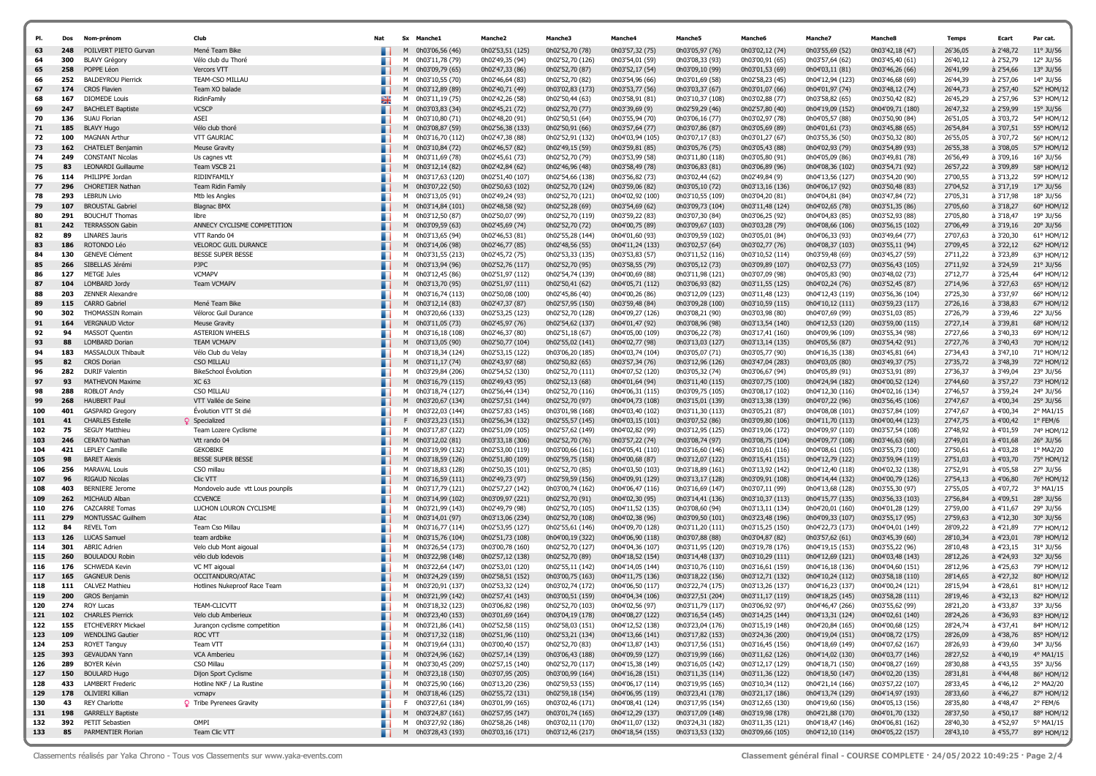| PI.        | Dos        | Nom-prénom                                   | Clut                                         | Nat |        | Sx Manche1                           | <b>Manche2</b>                       | Manche3                              | <b>Manche4</b>                       | <b>Manche5</b>                       | <b>Manche6</b>                       | Manche <sub>7</sub>                  | Manche8                              | Temps                | Ecart                  | Par cat.                |
|------------|------------|----------------------------------------------|----------------------------------------------|-----|--------|--------------------------------------|--------------------------------------|--------------------------------------|--------------------------------------|--------------------------------------|--------------------------------------|--------------------------------------|--------------------------------------|----------------------|------------------------|-------------------------|
| 63         | 248        | POILVERT PIETO Gurvan                        | Mené Team Bike                               |     | M      | 0h03'06,56 (46)                      | 0h02'53,51 (125)                     | 0h02'52,70 (78)                      | 0h03'57,32 (75)                      | 0h03'05,97 (76)                      | 0h03'02,12 (74)                      | 0h03'55,69 (52)                      | 0h03'42,18 (47)                      | 26'36,05             | à 2'48,72              | $11^{\circ}$ JU/56      |
| 64         | 300        | <b>BLAVY Grégory</b>                         | Vélo club du Thoré                           |     | M      | 0h03'11,78 (79)                      | 0h02'49,35 (94)                      | 0h02'52,70 (126)                     | 0h03'54,01 (59)                      | 0h03'08,33 (93)                      | 0h03'00,91 (65)                      | 0h03'57,64 (62)                      | 0h03'45,40 (61)                      | 26'40,12             | à 2'52,79              | 12° JU/56               |
| 65         | 258        | POPPE Léon                                   | Vercors VTT                                  |     | M      | 0h03'09,79 (65)                      | 0h02'47,33 (86)                      | 0h02'52,70 (87)                      | 0h03'52,17 (54)                      | 0h03'09,10 (99)                      | 0h03'01,53 (69)                      | 0h04'03,11 (81)                      | 0h03'46,26 (66)                      | 26'41,99             | à 2'54,66              | 13° JU/56               |
| 66         | 252        | <b>BALDEYROU Pierrick</b>                    | TEAM-CSO MILLAU                              |     |        | M 0h03'10,55 (70)                    | 0h02'46,64 (83)                      | 0h02'52,70 (82)                      | 0h03'54,96 (66)                      | 0h03'01,69 (58)                      | 0h02'58,23 (45)                      | 0h04'12,94 (123)                     | 0h03'46,68 (69)                      | 26'44,39             | à 2'57,06              | 14° JU/56               |
| 67         | 174        | <b>CROS Flavien</b>                          | Team XO balade                               |     | M      | 0h03'12,89 (89)                      | 0h02'40,71 (49)                      | 0h03'02,83 (173)                     | 0h03'53,77 (56)                      | 0h03'03,37 (67)                      | 0h03'01,07 (66)                      | 0h04'01,97 (74)                      | 0h03'48,12 (74)                      | 26'44,73             | à 2'57,40              | 52° HOM/12              |
| 68         | 167        | <b>DIOMEDE Louis</b>                         | RidinFamily                                  | Ж   | M      | 0h03'11,19 (75)                      | 0h02'42,26 (58)                      | 0h02'50,44 (63)                      | 0h03'58,91 (81)                      | 0h03'10,37 (108)                     | 0h03'02,88 (77)                      | 0h03'58,82 (65)                      | 0h03'50,42 (82)                      | 26'45,29             | à 2'57,96              | 53° HOM/12              |
| 69         | 247        | <b>BACHELET Baptiste</b>                     | <b>VCSCP</b>                                 |     | M      | 0h03'03,83 (34)                      | 0h02'45,21 (72)                      | 0h02'52,70 (77)                      | 0h03'39,69 (9)                       | 0h02'59,29 (46)                      | 0h02'57,80 (40)                      | 0h04'19,09 (152)                     | 0h04'09,71 (180)                     | 26'47,32             | à 2'59,99              | 15° JU/56               |
| 70         | 136        | SUAU Florian                                 | ASEI                                         |     | M      | 0h03'10,80 (71)                      | 0h02'48,20 (91)                      | 0h02'50,51 (64)                      | 0h03'55,94 (70)                      | 0h03'06,16 (77)                      | 0h03'02,97 (78)                      | 0h04'05,57 (88)                      | 0h03'50,90 (84)                      | 26'51,05             | à 3'03,72              | 54° HOM/12              |
| 71         | 185        | <b>BLAVY Hugo</b>                            | Vélo club thoré                              |     | M      | 0h03'08,87 (59)                      | 0h02'56,38 (133)                     | 0h02'50,91 (66)                      | 0h03'57,64 (77)                      | 0h03'07,86 (87)                      | 0h03'05,69 (89)                      | 0h04'01,61 (73)                      | 0h03'45,88 (65)                      | 26'54,84             | à 3'07,51              | 55° HOM/12              |
| 72         | 100        | <b>MAGNAN Arthur</b>                         | <b>VTT GAURIAC</b>                           |     | м      | 0h03'16,70 (112)                     | 0h02'47,38 (88)                      | 0h02'52,91 (132)                     | 0h04'03,94 (105)                     | 0h03'07,17 (83)                      | 0h03'01,27 (67)                      | 0h03'55,36 (50)                      | 0h03'50,32 (80)                      | 26'55,05             | à 3'07,72              | 56° HOM/12              |
| 73         | 162        | <b>CHATELET Benjamin</b>                     | <b>Meuse Gravity</b>                         |     | M      | 0h03'10,84 (72)                      | 0h02'46,57 (82)                      | 0h02'49,15 (59)                      | 0h03'59,81 (85)                      | 0h03'05,76 (75)                      | 0h03'05,43 (88)                      | 0h04'02,93 (79)                      | 0h03'54,89 (93)                      | 26'55,38             | à 3'08,05              | 57° HOM/12              |
| 74         | 249        | <b>CONSTANT Nicolas</b>                      | Us cagnes vtt                                |     | м      | 0h03'11,69 (78)                      | 0h02'45,61 (73)                      | 0h02'52,70 (79)                      | 0h03'53,99 (58)                      | 0h03'11,80 (118)                     | 0h03'05,80 (91)                      | 0h04'05,09 (86)                      | 0h03'49,81 (78)                      | 26'56,49             | à 3'09,16              | 16° JU/56               |
| 75         | 83         | LEONARDI Guillaume                           | Team VSCB 21                                 |     | M      | 0h03'12,14 (82)                      | 0h02'42,84 (62)                      | 0h02'46,96 (48)                      | 0h03'58,49 (78)                      | 0h03'06,83 (81)                      | 0h03'06,89 (96)                      | 0h04'08,36 (102)                     | 0h03'54,71 (92)                      | 26'57,22             | à 3'09,89              | 58° HOM/12              |
| 76<br>77   | 114<br>296 | PHILIPPE Jordan<br><b>CHORETIER Nathan</b>   | RIDIN'FAMILY<br>Team Ridin Family            |     | м<br>M | 0h03'17,63 (120)<br>0h03'07,22 (50)  | 0h02'51,40 (107)<br>0h02'50,63 (102) | 0h02'54,66 (138)                     | 0h03'56,82 (73)<br>0h03'59,06 (82)   | 0h03'02,44 (62)<br>0h03'05,10 (72)   | 0h02'49,84 (9)<br>0h03'13,16 (136)   | 0h04'13,56 (127)                     | 0h03'54,20 (90)<br>0h03'50,48 (83)   | 27'00,55<br>27'04,52 | à 3'13,22<br>à 3'17,19 | 59° HOM/12<br>17° JU/56 |
| 78         | 293        | <b>LEBRUN Livio</b>                          |                                              |     | м      | 0h03'13,05 (91)                      | 0h02'49,24 (93)                      | 0h02'52,70 (124)<br>0h02'52,70 (121) | 0h04'02,92 (100)                     | 0h03'10,55 (109)                     | 0h03'04,20 (81)                      | 0h04'06,17 (92)<br>0h04'04,81 (84)   | 0h03'47,84 (72)                      | 27'05,31             | à 3'17,98              | 18° JU/56               |
| 79         | 107        | <b>BROUSTAL Gabriel</b>                      | Mtb les Angles<br><b>Blagnac BMX</b>         |     | M      | 0h03'14,84 (101)                     | 0h02'48,58 (92)                      | 0h02'52,28 (69)                      | 0h03'54,69 (62)                      | 0h03'09,73 (104)                     | 0h03'11,48 (124)                     | 0h04'02,65 (78)                      | 0h03'51,35 (86)                      | 27'05,60             | à 3'18,27              | 60° HOM/12              |
| 80         | 291        | <b>BOUCHUT Thomas</b>                        | libre                                        |     | м      | 0h03'12,50 (87)                      | 0h02'50,07 (99)                      | 0h02'52,70 (119)                     | 0h03'59,22 (83)                      | 0h03'07,30 (84)                      | 0h03'06,25 (92)                      | 0h04'04,83 (85)                      | 0h03'52,93 (88)                      | 27'05,80             | à 3'18,47              | 19° JU/56               |
| 81         | 242        | <b>TERRASSON Gabin</b>                       | ANNECY CYCLISME COMPETITION                  |     | M      | 0h03'09,59 (63)                      | 0h02'45,69 (74)                      | 0h02'52,70 (72)                      | 0h04'00,75 (89)                      | 0h03'09,67 (103)                     | 0h03'03,28 (79)                      | 0h04'08,66 (106)                     | 0h03'56,15 (102)                     | 27'06,49             | à 3'19,16              | 20° JU/56               |
| 82         | 89         | <b>LINARES Jauris</b>                        | VTT Rando 04                                 |     | м      | 0h03'13,65 (94)                      | 0h02'46,53 (81)                      | 0h02'55,28 (144)                     | 0h04'01,60 (93)                      | 0h03'09,59 (102)                     | 0h03'05,01 (84)                      | 0h04'06,33 (93)                      | 0h03'49,64 (77)                      | 27'07,63             | à 3'20,30              | 61° HOM/12              |
| 83         | 186        | ROTONDO Léo                                  | <b>VELOROC GUIL DURANCE</b>                  |     | M      | 0h03'14,06 (98)                      | 0h02'46,77 (85)                      | 0h02'48,56 (55)                      | 0h04'11,24 (133)                     | 0h03'02,57 (64)                      | 0h03'02,77 (76)                      | 0h04'08,37 (103)                     | 0h03'55,11 (94)                      | 27'09,45             | à 3'22,12              | 62° HOM/12              |
| 84         | 130        | <b>GENEVE Clément</b>                        | <b>BESSE SUPER BESSE</b>                     |     | м      | 0h03'31,55 (213)                     | 0h02'45,72 (75)                      | 0h02'53,33 (135)                     | 0h03'53,83 (57)                      | 0h03'11,52 (116)                     | 0h03'10,52 (114)                     | 0h03'59,48 (69)                      | 0h03'45,27 (59)                      | 27'11,22             | à 3'23,89              | 63° HOM/12              |
| 85         | 266        | SIBELLAS Jérémi                              | <b>PJPC</b>                                  |     | M      | 0h03'13,94 (96)                      | 0h02'52,76 (117)                     | 0h02'52,70 (95)                      | 0h03'58,55 (79)                      | 0h03'05,12 (73)                      | 0h03'09,89 (107)                     | 0h04'02,53 (77)                      | 0h03'56,43 (105)                     | 27'11,92             | à 3'24,59              | $21^{\circ}$ JU/56      |
| 86         | 127        | <b>METGE Jules</b>                           | <b>VCMAPV</b>                                |     | м      | 0h03'12,45 (86)                      | 0h02'51,97 (112)                     | 0h02'54,74 (139)                     | 0h04'00,69 (88)                      | 0h03'11,98 (121)                     | 0h03'07,09 (98)                      | 0h04'05,83 (90)                      | 0h03'48,02 (73)                      | 27'12,77             | à 3'25,44              | 64° HOM/12              |
| 87         | 104        | LOMBARD Jordy                                | <b>Team VCMAPV</b>                           |     | M      | 0h03'13,70 (95)                      | 0h02'51,97 (111)                     | 0h02'50,41 (62)                      | 0h04'05,71 (112)                     | 0h03'06,93 (82)                      | 0h03'11,55 (125)                     | 0h04'02,24 (76)                      | 0h03'52,45 (87)                      | 27'14,96             | à 3'27,63              | 65° HOM/12              |
| 88         | 203        | <b>ZENNER Alexandre</b>                      |                                              |     | м      | 0h03'16,74 (113)                     | 0h02'50,08 (100)                     | 0h02'45,86 (40)                      | 0h04'00,26 (86)                      | 0h03'12,09 (123)                     | 0h03'11,48 (123)                     | 0h04'12,43 (119)                     | 0h03'56,36 (104)                     | 27'25,30             | à 3'37,97              | 66° HOM/12              |
| 89         | 115        | <b>CARRO Gabriel</b>                         | Mené Team Bike                               |     | M      | 0h03'12,14 (83)                      | 0h02'47,37 (87)                      | 0h02'57,95 (150)                     | 0h03'59,48 (84)                      | 0h03'09,28 (100)                     | 0h03'10,59 (115)                     | 0h04'10,12 (111)                     | 0h03'59,23 (117)                     | 27'26,16             | à 3'38,83              | 67° HOM/12              |
| 90         | 302        | <b>THOMASSIN Romain</b>                      | Véloroc Guil Durance                         |     | м      | 0h03'20,66 (133)                     | 0h02'53,25 (123)                     | 0h02'52,70 (128)                     | 0h04'09,27 (126)                     | 0h03'08,21 (90)                      | 0h03'03,98 (80)                      | 0h04'07,69 (99)                      | 0h03'51,03 (85)                      | 27'26,79             | à 3'39,46              | 22° JU/56               |
| 91         | 164        | <b>VERGNAUD Victor</b>                       | <b>Meuse Gravity</b>                         |     | M      | 0h03'11,05 (73)                      | 0h02'45,97 (76)                      | 0h02'54,62 (137)                     | 0h04'01,47 (92)                      | 0h03'08,96 (98)                      | 0h03'13,54 (140)                     | 0h04'12,53 (120)                     | 0h03'59,00 (115)                     | 27'27,14             | à 3'39,81              | 68° HOM/12              |
| 92         | 94         | <b>MASSOT Quentin</b>                        | <b>ASTERION WHEELS</b>                       |     | м      | 0h03'16,18 (108)                     | 0h02'46,37 (80)                      | 0h02'51,18 (67)                      | 0h04'05,00 (109)                     | 0h03'06.22 (78)                      | 0h03'17,41 (160)                     | 0h04'09,96 (109)                     | 0h03'55,34 (98)                      | 27'27,66             | à 3'40,33              | 69° HOM/12              |
| 93         | 88         | LOMBARD Dorian                               | <b>TEAM VCMAPV</b>                           |     | M      | 0h03'13,05 (90)                      | 0h02'50,77 (104)                     | 0h02'55,02 (141)                     | 0h04'02,77 (98)                      | 0h03'13,03 (127)                     | 0h03'13,14 (135)                     | 0h04'05,56 (87)                      | 0h03'54,42 (91)                      | 27'27,76             | à 3'40,43              | 70° HOM/12              |
| 94         | 183        | MASSALOUX Thibault                           | Vélo Club du Velay                           |     | м      | 0h03'18,34 (124)                     | 0h02'53,15 (122)                     | 0h03'06,20 (185)                     | 0h04'03,74 (104)                     | 0h03'05,07 (71)                      | 0h03'05,77 (90)                      | 0h04'16,35 (138)                     | 0h03'45,81 (64)                      | 27'34,43             | à 3'47,10              | 71° HOM/12              |
| 95         | 82         | <b>CROS Dorian</b>                           | CSO MILLAU                                   |     | M      | 0h03'11,17 (74)                      | 0h02'43,97 (68)                      | 0h02'50,82 (65)                      | 0h03'57,34 (76)                      | 0h03'12,96 (126)                     | 0h03'47,04 (283)                     | 0h04'03,05 (80)                      | 0h03'49,37 (75)                      | 27'35,72             | à 3'48,39              | 72° HOM/12              |
| 96         | 282        | <b>DURIF Valentin</b>                        | <b>BikeSchool Évolution</b><br>XC 63         |     | м      | 0h03'29,84 (206)                     | 0h02'54,52 (130)                     | 0h02'52,70 (111)                     | 0h04'07,52 (120)                     | 0h03'05,32 (74)                      | 0h03'06,67 (94)                      | 0h04'05,89 (91)                      | 0h03'53,91 (89)                      | 27'36,37             | à 3'49,04              | 23° JU/56               |
| 97<br>98   | 93<br>288  | <b>MATHEVON Maxime</b><br><b>ROBLOT Andy</b> | CSO MILLAU                                   |     | M<br>м | 0h03'16,79 (115)<br>0h03'18,74 (127) | 0h02'49,43 (95)                      | 0h02'52,13 (68)                      | 0h04'01,64 (94)                      | 0h03'11,40 (115)                     | 0h03'07,75 (100)                     | 0h04'24,94 (182)<br>0h04'12,30 (116) | 0h04'00,52 (124)<br>0h04'02,16 (134) | 27'44,60<br>27'46,57 | à 3'57,27<br>à 3'59,24 | 73° HOM/12<br>24° JU/56 |
| 99         | 268        | <b>HAUBERT Paul</b>                          | VTT Vallée de Seine                          |     | M      | 0h03'20,67 (134)                     | 0h02'56,44 (134)<br>0h02'57,51 (144) | 0h02'52,70 (116)<br>0h02'52,70 (97)  | 0h04'06,31 (115)<br>0h04'04,73 (108) | 0h03'09,75 (105)<br>0h03'15,01 (139) | 0h03'08,17 (102)<br>0h03'13,38 (139) | 0h04'07,22 (96)                      | 0h03'56,45 (106)                     | 27'47,67             | à 4'00,34              | 25° JU/56               |
| 100        | 401        | <b>GASPARD Gregory</b>                       | Évolution VTT St dié                         |     | м      | 0h03'22,03 (144)                     | 0h02'57,83 (145)                     | 0h03'01,98 (168)                     | 0h04'03,40 (102)                     | 0h03'11,30 (113)                     | 0h03'05,21 (87)                      | 0h04'08,08 (101)                     | 0h03'57,84 (109)                     | 27'47,67             | à 4'00,34              | 2° MA1/15               |
| 101        | 41         | <b>CHARLES Estelle</b>                       | Specialized                                  |     | F.     | 0h03'23,23 (151)                     | 0h02'56,34 (132)                     | 0h02'55,57 (145)                     | 0h04'03,15 (101)                     | 0h03'07,52 (86)                      | 0h03'09,80 (106)                     | 0h04'11,70 (113)                     | 0h04'00,44 (123)                     | 27'47,75             | à 4'00,42              | $1^{\circ}$ FEM/6       |
| 102        | 75         | <b>SEGUY Matthieu</b>                        | Team Lozere Cyclisme                         |     | м      | 0h03'17,87 (122)                     | 0h02'51,09 (105)                     | 0h02'57,62 (149)                     | 0h04'02,82 (99)                      | 0h03'12,95 (125)                     | 0h03'19,06 (172)                     | 0h04'09,97 (110)                     | 0h03'57,54 (108)                     | 27'48,92             | à 4'01,59              | 74° HOM/12              |
| 103        | 246        | <b>CERATO Nathan</b>                         | Vtt rando 04                                 |     | M      | 0h03'12,02 (81)                      | 0h03'33,18 (306)                     | 0h02'52,70 (76)                      | 0h03'57,22 (74)                      | 0h03'08,74 (97)                      | 0h03'08,75 (104)                     | 0h04'09,77 (108)                     | 0h03'46,63 (68)                      | 27'49,01             | à 4'01,68              | $26^\circ$ JU/56        |
| 104        | 421        | <b>LEPLEY Camille</b>                        | <b>GEKOBIKE</b>                              |     | м      | 0h03'19,99 (132)                     | 0h02'53,00 (119)                     | 0h03'00,66 (161)                     | 0h04'05,41 (110)                     | 0h03'16,60 (146)                     | 0h03'10,61 (116)                     | 0h04'08,61 (105)                     | 0h03'55,73 (100                      | 27'50,61             | à 4'03,28              | 1° MA2/20               |
| 105        | 98         | <b>BARET Alexis</b>                          | <b>BESSE SUPER BESSE</b>                     |     | M      | 0h03'18,59 (126)                     | 0h02'51,80 (109)                     | 0h02'59,75 (158)                     | 0h04'00,68 (87)                      | 0h03'12,07 (122)                     | 0h03'15,41 (151)                     | 0h04'12,79 (122)                     | 0h03'59,94 (119)                     | 27'51,03             | à 4'03,70              | 75° HOM/12              |
| 106        | 256        | <b>MARAVAL Louis</b>                         | CSO millau                                   |     | м      | 0h03'18,83 (128)                     | 0h02'50,35 (101)                     | 0h02'52,70 (85)                      | 0h04'03,50 (103)                     | 0h03'18,89 (161)                     | 0h03'13,92 (142)                     | 0h04'12,40 (118)                     | 0h04'02,32 (138)                     | 27'52,91             | à 4'05,58              | 27° JU/56               |
| 107        | 96         | <b>RIGAUD Nicolas</b>                        | Clic VTT                                     |     | M      | 0h03'16,59 (111)                     | 0h02'49,73 (97)                      | 0h02'59,59 (156)                     | 0h04'09,91 (129)                     | 0h03'13,17 (128)                     | 0h03'09,91 (108)                     | 0h04'14,44 (132)                     | 0h04'00,79 (126)                     | 27'54,13             | à 4'06,80              | 76° HOM/12              |
| 108        | 403        | <b>BERNIERE Jerome</b>                       | Mondovelo aude vtt Lous pounpils             |     | м      | 0h03'17,79 (121)                     | 0h02'57,27 (142)                     | 0h03'00,74 (162)                     | 0h04'06,47 (116)                     | 0h03'16,69 (147)                     | 0h03'07,11 (99)                      | 0h04'13,68 (128)                     | 0h03'55,30 (97)                      | 27'55,05             | à 4'07,72              | 3° MA1/15               |
| 109        | 262        | MICHAUD Alban                                | <b>CCVENCE</b>                               |     | M      | 0h03'14,99 (102)                     | 0h03'09,97 (221)                     | 0h02'52,70 (91)                      | 0h04'02,30 (95)                      | 0h03'14,41 (136)                     | 0h03'10,37 (113)                     | 0h04'15,77 (135)                     | 0h03'56,33 (103)                     | 27'56,84             | à 4'09,51              | 28° JU/56               |
| 110        | 276        | <b>CAZCARRE Tomas</b>                        | LUCHON LOURON CYCLISME                       |     | м      | 0h03'21,99 (143)                     | 0h02'49,79 (98)                      | 0h02'52,70 (105)                     | 0h04'11,52 (135)                     | 0h03'08,60 (94)                      | 0h03'13,11 (134)                     | 0h04'20,01 (160)                     | 0h04'01,28 (129)                     | 27'59,00             | à 4'11,67              | 29° JU/56               |
| 111        | 279        | MONTUSSAC Guilhem                            | Atac                                         |     | M      | 0h03'14,01 (97)                      | 0h03'13,06 (234)                     | 0h02'52,70 (108)                     | 0h04'02,38 (96)                      | 0h03'09,50 (101)                     | 0h03'23,48 (196)                     | 0h04'09,33 (107)                     | 0h03'55,17 (95)                      | 27'59,63             | à 4'12,30              | 30° JU/56               |
| 112        | 84         | <b>REVEL Tom</b>                             | Team Cso Millau                              |     | м      | 0h03'16,77 (114)                     | 0h02'53,95 (127)                     | 0h02'55,61 (146)                     | 0h04'09,70 (128)                     | 0h03'11,20 (111)                     | 0h03'15,25 (150)                     | 0h04'22,73 (173)                     | 0h04'04,01 (149)                     | 28'09,22             | à 4'21,89              | 77° HOM/12              |
| 113        | 126<br>301 | <b>LUCAS Samuel</b>                          | team ardbike                                 |     | M      | 0h03'15,76 (104)                     | 0h02'51,73 (108)                     | 0h04'00,19 (322)                     | 0h04'06,90 (118)                     | 0h03'07,88 (88)                      | 0h03'04,87 (82)                      | 0h03'57,62 (61)                      | 0h03'45,39 (60)                      | 28'10,34             | à 4'23,01              | 78° HOM/12              |
| 114<br>115 | 260        | <b>ABRIC Adrien</b><br><b>BOULADOU Robin</b> | Velo club Mont aigoual<br>vélo club lodevois |     | м<br>M | 0h03'26,54 (173)<br>0h03'22,98 (148) | 0h03'00,78 (160)<br>0h02'57,12 (138) | 0h02'52,70 (127)<br>0h02'52,70 (89)  | 0h04'04,36 (107)<br>0h04'18,52 (154) | 0h03'11,95 (120)<br>0h03'14,48 (137) | 0h03'19,78 (176)<br>0h03'10,29 (111) | 0h04'19,15 (153)<br>0h04'12,69 (121) | 0h03'55,22 (96)<br>0h04'03,48 (143)  | 28'10,48<br>28'12,26 | à 4'23,15<br>à 4'24,93 | 31° JU/56<br>32° JU/56  |
| 116        | 176        | <b>SCHWEDA Kevin</b>                         | VC MT aigoual                                |     |        | M 0h03'22,64 (147)                   | 0h02'53,01 (120)                     | 0h02'55,11 (142)                     | 0h04'14,05 (144)                     | 0h03'10,76 (110)                     | 0h03'16,61 (159)                     | 0h04'16,18 (136)                     | 0h04'04,60 (151)                     | 28'12,96             | à 4'25,63              | 79° HOM/12              |
| 117        | 165        | <b>GAGNEUR Denis</b>                         | OCCITANDURO/ATAC                             |     | M      | 0h03'24,29 (159)                     | 0h02'58,51 (152)                     | 0h03'00,75 (163)                     | 0h04'11,75 (136)                     | 0h03'18,22 (156)                     | 0h03'12,71 (132)                     | 0h04'10,24 (112)                     | 0h03'58,18 (110)                     | 28'14,65             | à 4'27,32              | 80° HOM/12              |
| 118        | 111        | <b>CALVEZ Mathieu</b>                        | Hotlines Nukeproof Race Team                 |     | м      | 0h03'20,91 (137)                     | 0h02'53,32 (124)                     | 0h03'02,74 (172)                     | 0h04'06,50 (117)                     | 0h03'22,74 (175)                     | 0h03'13,26 (137)                     | 0h04'16,23 (137)                     | 0h04'00,24 (121)                     | 28'15,94             | à 4'28,61              | 81° HOM/12              |
| 119        | 200        | <b>GROS Benjamin</b>                         |                                              |     | M      | 0h03'21,99 (142)                     | 0h02'57,41 (143)                     | 0h03'00,51 (159)                     | 0h04'04,34 (106)                     | 0h03'27,51 (204)                     | 0h03'11,17 (119)                     | 0h04'18,25 (145)                     | 0h03'58,28 (111)                     | 28'19,46             | à 4'32,13              | 82° HOM/12              |
| 120        | 274        | <b>ROY Lucas</b>                             | <b>TEAM-CLICVTT</b>                          |     | м      | 0h03'18,32 (123)                     | 0h03'06,82 (198)                     | 0h02'52,70 (103)                     | 0h04'02,56 (97)                      | 0h03'11,79 (117)                     | 0h03'06,92 (97)                      | 0h04'46,47 (266)                     | 0h03'55,62 (99)                      | 28'21,20             | à 4'33,87              | 33° JU/56               |
| 121        | 102        | <b>CHARLES Pierrick</b>                      | Velo club Amberieux                          |     | M      | 0h03'23,40 (153)                     | 0h03'01,69 (164)                     | 0h03'04,19 (178)                     | 0h04'08,27 (122)                     | 0h03'16,54 (145)                     | 0h03'14,25 (144)                     | 0h04'13,31 (124)                     | 0h04'02,61 (140)                     | 28'24,26             | à 4'36,93              | 83° HOM/12              |
| 122        | 155        | ETCHEVERRY Mickael                           | Jurançon cyclisme competition                |     |        | M 0h03'21,86 (141)                   | 0h02'52,58 (115)                     | 0h02'58,03 (151)                     | 0h04'12,52 (138)                     | 0h03'23,04 (176)                     | 0h03'15,19 (148)                     | 0h04'20,84 (165)                     | 0h04'00,68 (125)                     | 28'24,74             | à 4'37,41              | 84° HOM/12              |
| 123        | 109        | <b>WENDLING Gautier</b>                      | ROC VTT                                      |     |        | M 0h03'17,32 (118)                   | 0h02'51,96 (110)                     | 0h02'53,21 (134)                     | 0h04'13,66 (141)                     | 0h03'17,82 (153)                     | 0h03'24,36 (200)                     | 0h04'19,04 (151)                     | 0h04'08,72 (175)                     | 28'26,09             | à 4'38,76              | 85° HOM/12              |
| 124        | 253        | <b>ROYET Tanguy</b>                          | Team VTT                                     |     |        | M 0h03'19,64 (131)                   | 0h03'00,40 (157)                     | 0h02'52,70 (83)                      | 0h04'13,87 (143)                     | 0h03'17,56 (151)                     | 0h03'16,45 (156)                     | 0h04'18,69 (149)                     | 0h04'07,62 (167)                     | 28'26,93             | à 4'39,60              | 34° JU/56               |
| 125        | 393        | <b>GEVAUDAN Yann</b>                         | VCA Amberieu                                 |     |        | M 0h03'24,96 (162)                   | 0h02'57,14 (139)                     | 0h03'06,43 (188)                     | 0h04'09,59 (127)                     | 0h03'19,99 (166)                     | 0h03'11,62 (126)                     | 0h04'14,02 (130)                     | 0h04'03,77 (146)                     | 28'27,52             | à 4'40,19              | 4° MA1/15               |
| 126        | 289        | <b>BOYER Kévin</b>                           | CSO Millau                                   |     |        | M 0h03'30,45 (209)                   | 0h02'57,15 (140)                     | 0h02'52,70 (117)                     | 0h04'15,38 (149)                     | 0h03'16,05 (142)                     | 0h03'12,17 (129)                     | 0h04'18,71 (150)                     | 0h04'08,27 (169)                     | 28'30,88             | à 4'43,55              | 35° JU/56               |
| 127        | 150        | <b>BOULARD Hugo</b>                          | Dijon Sport Cyclisme                         |     |        | M 0h03'23,18 (150)                   | 0h03'07,95 (205)                     | 0h03'00,99 (164)                     | 0h04'16,28 (151)                     | 0h03'11,35 (114)                     | 0h03'11,36 (122)                     | 0h04'18,50 (147)                     | 0h04'02,20 (135)                     | 28'31,81             | à 4'44,48              | 86° HOM/12              |
| 128        | 433        | <b>LAMBERT Frederic</b>                      | Hotline NKF / La Rustine                     |     |        | M 0h03'25,90 (166)                   | 0h03'13,20 (236)                     | 0h02'59,53 (155)                     | 0h04'06,17 (114)                     | 0h03'19,95 (165)                     | 0h03'10,34 (112)                     | 0h04'21,14 (166)                     | 0h03'57,22 (107)                     | 28'33,45             | à 4'46,12              | 2° MA2/20               |
| 129        | 178        | OLIVIERI Killian                             | vcmapv                                       |     |        | M 0h03'18,46 (125)                   | 0h02'55,72 (131)                     | 0h02'59,18 (154)                     | 0h04'06,95 (119)                     | 0h03'23,41 (178)                     | 0h03'21,17 (186)                     | 0h04'13,74 (129)                     | 0h04'14,97 (193)                     | 28'33,60             | à 4'46,27              | 87° HOM/12              |
| 130        | 43         | <b>REY Charlotte</b>                         | <b>Q</b> Tribe Pyrenees Gravity              |     |        | F 0h03'27,61 (184)                   | 0h03'01,99 (165)                     | 0h03'02,46 (171)                     | 0h04'08,41 (124)                     | 0h03'17,95 (154)                     | 0h03'12,65 (130)                     | 0h04'19,60 (156)                     | 0h04'05,13 (156)                     | 28'35,80             | à 4'48,47              | 2° FEM/6                |
| 131        | 198        | <b>GARRELLY Baptiste</b>                     |                                              |     |        | M 0h03'24,87 (161)                   | 0h02'57,95 (147)                     | 0h03'01,74 (165)                     | 0h04'12,29 (137)                     | 0h03'17,09 (148)                     | 0h03'19,98 (178)                     | 0h04'21,88 (170)                     | 0h04'01,70 (132)                     | 28'37,50             | à 4'50,17              | 88° HOM/12              |
| 132        | 392        | PETIT Sebastien                              | OMPI                                         |     |        | M 0h03'27,92 (186)                   | 0h02'58,26 (148)                     | 0h03'02,11 (170)                     | 0h04'11,07 (132)                     | 0h03'24,31 (182)                     | 0h03'11,35 (121)                     | 0h04'18,47 (146)                     | 0h04'06,81 (162)                     | 28'40,30             | à 4'52,97              | 5° MA1/15               |
| 133        | 85         | PARMENTIER Florian                           | Team Clic VTT                                |     |        | M 0h03'28,43 (193)                   | 0h03'03,16 (171)                     | 0h03'12,46 (217)                     | 0h04'18,54 (155)                     | 0h03'13,53 (132)                     | 0h03'09,66 (105)                     | 0h04'12,10 (114)                     | 0h04'05,22 (157)                     | 28'43,10             | à 4'55,77              | 89° HOM/12              |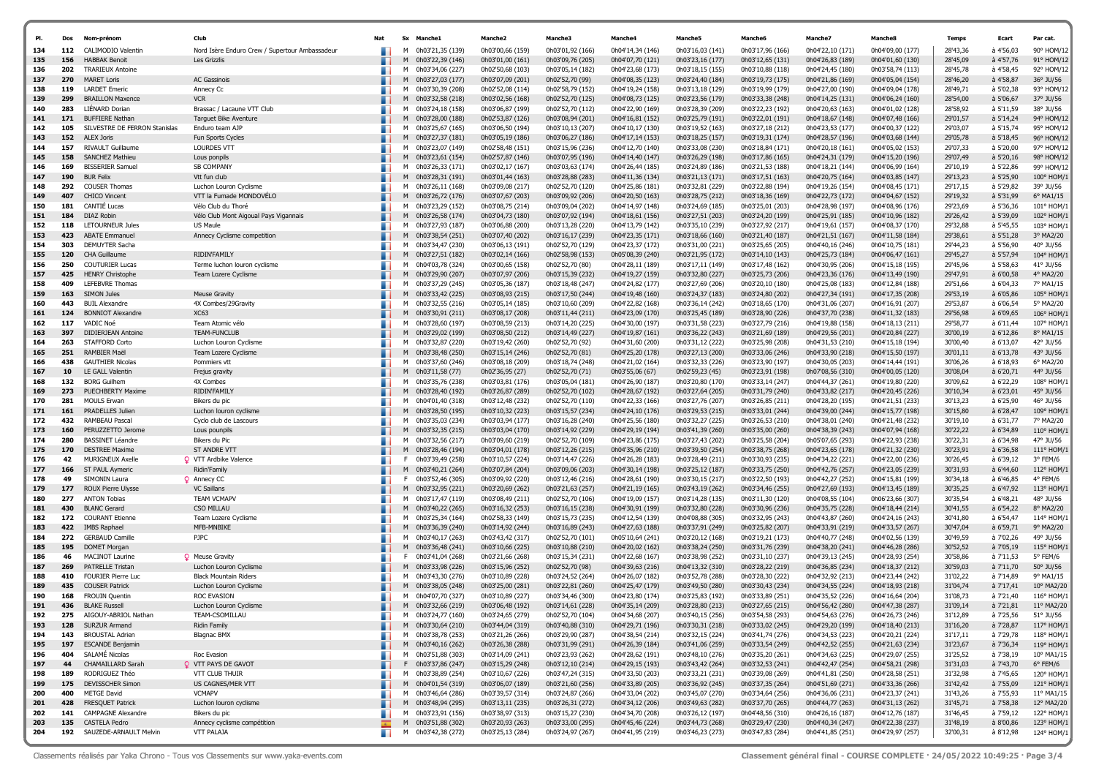| PI.        | Dos        | Nom-prénom                                      | Club                                           | Nat            | Sx Manche1                                     | Manche2                              | Manche3                              | <b>Manche4</b>                       | <b>Manche5</b>                       | Manche6                              | Manche <sub>7</sub>                  | Manche8                              | <b>Temps</b>         | Ecart                  | Par cat.                 |
|------------|------------|-------------------------------------------------|------------------------------------------------|----------------|------------------------------------------------|--------------------------------------|--------------------------------------|--------------------------------------|--------------------------------------|--------------------------------------|--------------------------------------|--------------------------------------|----------------------|------------------------|--------------------------|
| 134        | 112        | <b>CALIMODIO Valentin</b>                       | Nord Isère Enduro Crew / Supertour Ambassadeur |                | 0h03'21,35 (139)<br>м                          | 0h03'00,66 (159)                     | 0h03'01,92 (166)                     | 0h04'14,34 (146)                     | 0h03'16,03 (141)                     | 0h03'17,96 (166)                     | 0h04'22,10 (171)                     | 0h04'09,00 (177)                     | 28'43,36             | à 4'56,03              | 90° HOM/12               |
| 135<br>136 | 156<br>202 | <b>HABBAK Benoit</b><br><b>TRARIEUX Antoine</b> | Les Grizzlis                                   |                | 0h03'22,39 (146)<br>M                          | 0h03'01,00 (161)                     | 0h03'09,76 (205)                     | 0h04'07,70 (121)                     | 0h03'23,16 (177)                     | 0h03'12,65 (131)                     | 0h04'26,83 (189)                     | 0h04'01,60 (130)                     | 28'45,09<br>28'45,78 | à 4'57,76<br>à 4'58,45 | 91° HOM/12<br>92° HOM/12 |
| 137        | 270        | <b>MARET Loris</b>                              | <b>AC Gassinois</b>                            |                | 0h03'34,06 (227)<br>м<br>M<br>0h03'27,03 (177) | 0h02'50,68 (103)<br>0h03'07,09 (201) | 0h03'05,14 (182)<br>0h02'52,70 (99)  | 0h04'23,68 (173)<br>0h04'08,35 (123) | 0h03'18,15 (155)<br>0h03'24,40 (184) | 0h03'10,88 (118)<br>0h03'19,73 (175) | 0h04'24,45 (180)<br>0h04'21,86 (169) | 0h03'58,74 (113)<br>0h04'05,04 (154) | 28'46,20             | à 4'58,87              | 36° JU/56                |
| 138        | 119        | <b>LARDET Emeric</b>                            | Annecy Cc                                      | ٠              | 0h03'30,39 (208)<br>м                          | 0h02'52,08 (114)                     | 0h02'58,79 (152)                     | 0h04'19,24 (158)                     | 0h03'13,18 (129)                     | 0h03'19,99 (179)                     | 0h04'27,00 (190)                     | 0h04'09,04 (178)                     | 28'49,71             | à 5'02,38              | 93° HOM/12               |
| 139        | 299        | <b>BRAILLON Maxence</b>                         | <b>VCR</b>                                     |                | M<br>0h03'32,58 (218)                          | 0h03'02,56 (168)                     | 0h02'52,70 (125)                     | 0h04'08,73 (125)                     | 0h03'23,56 (179)                     | 0h03'33,38 (248)                     | 0h04'14,25 (131)                     | 0h04'06,24 (160)                     | 28'54,00             | à 5'06,67              | 37° JU/56                |
| 140        | 283        | LIENARD Dorian                                  | Brassac / Lacaune VTT Club                     |                | 0h03'24,18 (158)<br>м                          | 0h03'06,87 (199)                     | 0h02'52,70 (112)                     | 0h04'22,90 (169)                     | 0h03'28,39 (209)                     | 0h03'22,23 (192)                     | 0h04'20,63 (163)                     | 0h04'01,02 (128)                     | 28'58,92             | à 5'11,59              | 38° JU/56                |
| 141        | 171        | <b>BUFFIERE Nathan</b>                          | <b>Tarquet Bike Aventure</b>                   |                | 0h03'28,00 (188)<br>M                          | 0h02'53,87 (126)                     | 0h03'08,94 (201)                     | 0h04'16,81 (152)                     | 0h03'25,79 (191)                     | 0h03'22,01 (191)                     | 0h04'18,67 (148)                     | 0h04'07,48 (166)                     | 29'01,57             | à 5'14,24              | 94° HOM/12               |
| 142        | 105        | SILVESTRE DE FERRON Stanislas                   | Enduro team AJP                                |                | 0h03'25,67 (165)<br>м                          | 0h03'06,50 (194)                     | 0h03'10,13 (207)                     | 0h04'10,17 (130)                     | 0h03'19,52 (163)                     | 0h03'27,18 (212)                     | 0h04'23,53 (177)                     | 0h04'00,37 (122)                     | 29'03,07             | à 5'15,74              | 95° HOM/12               |
| 143        | 152        | <b>ALEX Joris</b>                               | Fun Sports Cycles                              |                | 0h03'27,37 (181)<br>M                          | 0h03'05,19 (186)                     | 0h03'06,27 (186)                     | 0h04'17,14 (153)                     | 0h03'18,25 (157)                     | 0h03'19,31 (174)                     | 0h04'28,57 (196)                     | 0h04'03,68 (144)                     | 29'05,78             | à 5'18,45              | 96° HOM/12               |
| 144        | 157        | <b>RIVAULT Guillaume</b>                        | <b>LOURDES VTT</b>                             |                | 0h03'23,07 (149)<br>м                          | 0h02'58,48 (151)                     | 0h03'15,96 (236)                     | 0h04'12,70 (140)                     | 0h03'33,08 (230)                     | 0h03'18,84 (171)                     | 0h04'20,18 (161)                     | 0h04'05,02 (153)                     | 29'07,33             | à 5'20,00              | 97° HOM/12               |
| 145        | 158        | <b>SANCHEZ Mathieu</b>                          | Lous ponpils                                   | ٠              | M<br>0h03'23,61 (154)                          | 0h02'57,87 (146)                     | 0h03'07,95 (196)                     | 0h04'14,40 (147)                     | 0h03'26,29 (198)                     | 0h03'17,86 (165)                     | 0h04'24,31 (179)                     | 0h04'15,20 (196)                     | 29'07,49             | à 5'20,16              | 98° HOM/12               |
| 146        | 169        | <b>BISSERIER Samuel</b>                         | <b>SB COMPANY</b>                              |                | 0h03'26,33 (171)<br>м                          | 0h03'02,17 (167)                     | 0h03'03,63 (174)                     | 0h04'26,44 (185)                     | 0h03'24,89 (186)                     | 0h03'21,53 (188)                     | 0h04'18,21 (144)                     | 0h04'06,99 (164)                     | 29'10,19             | à 5'22,86              | 99° HOM/12               |
| 147        | 190        | <b>BUR Felix</b>                                | Vtt fun club                                   |                | 0h03'28.31 (191)<br>M                          | 0h03'01,44 (163)                     | 0h03'28,88 (283)                     | 0h04'11,36 (134)                     | 0h03'21,13 (171)                     | 0h03'17,51 (163)                     | 0h04'20,75 (164)                     | 0h04'03,85 (147)                     | 29'13,23             | à 5'25,90              | 100° HOM/1               |
| 148        | 292        | <b>COUSER Thomas</b>                            | Luchon Louron Cyclisme                         |                | м<br>0h03'26,11 (168)                          | 0h03'09,08 (217)                     | 0h02'52,70 (120)                     | 0h04'25,86 (181)                     | 0h03'32,81 (229)                     | 0h03'22,88 (194)                     | 0h04'19,26 (154)                     | 0h04'08,45 (171)                     | 29'17,15             | à 5'29,82              | 39° JU/56                |
| 149        | 407        | <b>CHICO Vincent</b>                            | VTT la Fumade MONDOVELO                        | ٠              | 0h03'26,72 (176)<br>M                          | 0h03'07,67 (203)                     | 0h03'09,92 (206)                     | 0h04'20,50 (163)                     | 0h03'28,75 (212)                     | 0h03'18,36 (169)                     | 0h04'22,73 (172)                     | 0h04'04,67 (152)                     | 29'19,32             | à 5'31,99              | 6° MA1/15                |
| 150        | 181        | CANTIE Lucas                                    | Vélo Club du Thoré                             |                | 0h03'23,29 (152)<br>м                          | 0h03'08,75 (214)                     | 0h03'09,04 (202)                     | 0h04'14,97 (148)                     | 0h03'24,69 (185)                     | 0h03'25,01 (203)                     | 0h04'28,98 (197)                     | 0h04'08,96 (176)                     | 29'23,69             | à 5'36,36              | 101° HOM/1               |
| 151        | 184        | DIAZ Robin                                      | Vélo Club Mont Aigoual Pays Vigannais          |                | 0h03'26,58 (174)<br>M                          | 0h03'04,73 (180)                     | 0h03'07,92 (194)                     | 0h04'18,61 (156)                     | 0h03'27,51 (203)                     | 0h03'24,20 (199)                     | 0h04'25,91 (185)                     | 0h04'10,96 (182)                     | 29'26,42             | à 5'39,09              | 102° HOM/1               |
| 152        | 118        | LETOURNEUR Jules                                | US Maule                                       |                | 0h03'27,93 (187)<br>м                          | 0h03'06,88 (200)                     | 0h03'13,28 (220)                     | 0h04'13,79 (142)                     | 0h03'35,10 (239)                     | 0h03'27,92 (217)                     | 0h04'19,61 (157)                     | 0h04'08,37 (170)                     | 29'32,88             | à 5'45,55              | 103° HOM/1               |
| 153        | 423<br>303 | <b>ABATE Emmanuel</b><br><b>DEMUYTER Sacha</b>  | Annecy Cyclisme competition                    | ٠              | 0h03'38,54 (251)<br>M                          | 0h03'07,40 (202)                     | 0h03'16,17 (239)                     | 0h04'23,35 (171)                     | 0h03'18,66 (160)                     | 0h03'21,40 (187)                     | 0h04'21,51 (167)                     | 0h04'11,58 (184)                     | 29'38,61<br>29'44,23 | à 5'51,28<br>à 5'56,90 | 3° MA2/20<br>40° JU/56   |
| 154<br>155 | 120        | CHA Guillaume                                   | RIDIN'FAMILY                                   |                | 0h03'34,47 (230)<br>м<br>0h03'27,51 (182)<br>M | 0h03'06,13 (191)<br>0h03'02,14 (166) | 0h02'52,70 (129)<br>0h02'58,98 (153) | 0h04'23,37 (172)<br>0h05'08,39 (240) | 0h03'31,00 (221)<br>0h03'21,95 (172) | 0h03'25,65 (205)<br>0h03'14,10 (143) | 0h04'40,16 (246)<br>0h04'25,73 (184) | 0h04'10,75 (181)<br>0h04'06,47 (161) | 29'45,27             | à 5'57,94              | 104° HOM/1               |
| 156        | 250        | <b>COUTURIER Lucas</b>                          | Terme luchon louron cyclisme                   |                | 0h04'03,78 (324)<br>м                          | 0h03'00,65 (158)                     | 0h02'52,70 (80)                      | 0h04'28,11 (189)                     | 0h03'17,11 (149)                     | 0h03'17,48 (162)                     | 0h04'30,95 (206)                     | 0h04'15,18 (195)                     | 29'45,96             | à 5'58,63              | 41° JU/56                |
| 157        | 425        | <b>HENRY Christophe</b>                         | Team Lozere Cyclisme                           | ٠              | 0h03'29,90 (207)<br>M                          | 0h03'07,97 (206)                     | 0h03'15,39 (232)                     | 0h04'19,27 (159)                     | 0h03'32,80 (227)                     | 0h03'25,73 (206)                     | 0h04'23,36 (176)                     | 0h04'13,49 (190)                     | 29'47,91             | à 6'00,58              | 4° MA2/20                |
| 158        | 409        | <b>LEFEBVRE Thomas</b>                          |                                                |                | 0h03'37,29 (245)<br>м                          | 0h03'05,36 (187)                     | 0h03'18,48 (247)                     | 0h04'24,82 (177)                     | 0h03'27,69 (206)                     | 0h03'20,10 (180)                     | 0h04'25,08 (183)                     | 0h04'12,84 (188)                     | 29'51,66             | à 6'04,33              | 7° MA1/15                |
| 159        | 163        | <b>SIMON Jules</b>                              | <b>Meuse Gravity</b>                           |                | 0h03'33,42 (225)<br>M                          | 0h03'08,93 (215)                     | 0h03'17,50 (244)                     | 0h04'19,48 (160)                     | 0h03'24,37 (183)                     | 0h03'24,80 (202)                     | 0h04'27,34 (191)                     | 0h04'17,35 (208)                     | 29'53,19             | à 6'05,86              | 105° HOM/1               |
| 160        | 443        | <b>BUIL Alexandre</b>                           | 4X Combes/29Gravity                            |                | 0h03'32,55 (216)<br>м                          | 0h03'05,14 (185)                     | 0h03'10,60 (209)                     | 0h04'22,82 (168)                     | 0h03'36,14 (242)                     | 0h03'18,65 (170)                     | 0h04'31,06 (207)                     | 0h04'16,91 (207)                     | 29'53,87             | à 6'06,54              | 5° MA2/20                |
| 161        | 124        | <b>BONNIOT Alexandre</b>                        | XC63                                           | ٠              | 0h03'30,91 (211)<br>M                          | 0h03'08,17 (208)                     | 0h03'11,44 (211)                     | 0h04'23,09 (170)                     | 0h03'25,45 (189)                     | 0h03'28,90 (226)                     | 0h04'37,70 (238)                     | 0h04'11,32 (183)                     | 29'56,98             | à 6'09,65              | 106° HOM/1               |
| 162        | 117        | VADIC Noé                                       | Team Atomic vélo                               |                | 0h03'28,60 (197)<br>м                          | 0h03'08,59 (213)                     | 0h03'14,20 (225)                     | 0h04'30,00 (197)                     | 0h03'31,58 (223)                     | 0h03'27,79 (216)                     | 0h04'19,88 (158)                     | 0h04'18,13 (211)                     | 29'58,77             | à 6'11,44              | 107° HOM/1               |
| 163        | 397        | <b>DIDIERJEAN Antoine</b>                       | <b>TEAM-FUNCLUB</b>                            |                | 0h03'29,02 (199)<br>M                          | 0h03'08,50 (212)                     | 0h03'14,49 (227)                     | 0h04'19,87 (161)                     | 0h03'36,22 (243)                     | 0h03'21,69 (189)                     | 0h04'29,56 (201)                     | 0h04'20,84 (227)                     | 30'00,19             | à 6'12,86              | 8° MA1/15                |
| 164        | 263        | <b>STAFFORD Corto</b>                           | Luchon Louron Cyclisme                         |                | м<br>0h03'32,87 (220)                          | 0h03'19,42 (260)                     | 0h02'52,70 (92)                      | 0h04'31,60 (200)                     | 0h03'31,12 (222)                     | 0h03'25,98 (208)                     | 0h04'31,53 (210)                     | 0h04'15,18 (194)                     | 30'00,40             | à 6'13,07              | 42° JU/56                |
| 165        | 251        | RAMBIER Maël                                    | Team Lozere Cyclisme                           |                | 0h03'38,48 (250)<br>M                          | 0h03'15,14 (246)                     | 0h02'52,70 (81)                      | 0h04'25,20 (178)                     | 0h03'27,13 (200)                     | 0h03'33,06 (246)                     | 0h04'33,90 (218)                     | 0h04'15,50 (197)                     | 30'01,11             | à 6'13,78              | 43° JU/56                |
| 166        | 438        | <b>GAUTHIER Nicolas</b>                         | Pommiers vtt                                   |                | м<br>0h03'37,60 (246)                          | 0h03'08,18 (209)                     | 0h03'18,74 (248)                     | 0h04'21,02 (164)                     | 0h03'32,33 (226)                     | 0h03'23,90 (197)                     | 0h04'30,05 (203)                     | 0h04'14,44 (191)                     | 30'06,26             | à 6'18,93              | 6° MA2/20                |
| 167        | 10         | LE GALL Valentin                                | Frejus gravity                                 |                | 0h03'11,58 (77)<br>M                           | 0h02'36,95 (27)                      | 0h02'52,70 (71)                      | 0h03'55,06 (67)                      | 0h02'59,23 (45)                      | 0h03'23,91 (198)                     | 0h07'08,56 (310)                     | 0h04'00,05 (120)                     | 30'08,04             | à 6'20,71              | 44° JU/56                |
| 168        | 132        | <b>BORG Guilhem</b>                             | 4X Combes                                      |                | м<br>0h03'35,76 (238)                          | 0h03'03,81 (176)                     | 0h03'05,04 (181)                     | 0h04'26,90 (187)                     | 0h03'20,80 (170)                     | 0h03'33,14 (247)                     | 0h04'44,37 (261)                     | 0h04'19,80 (220)                     | 30'09,62             | à 6'22,29              | 108° HOM/                |
| 169        | 273        | <b>PUECHBERTY Maxime</b>                        | RIDIN'FAMILY                                   | ٠              | M<br>0h03'28,40 (192)                          | 0h03'26,87 (289)                     | 0h02'52,70 (102)                     | 0h04'28,67 (192)                     | 0h03'27,64 (205)                     | 0h03'31,79 (240)                     | 0h04'33,82 (217)                     | 0h04'20,45 (226)                     | 30'10,34             | à 6'23,01              | 45° JU/56                |
| 170<br>171 | 281<br>161 | <b>MOULS Erwan</b><br><b>PRADELLES Julien</b>   | Bikers du pic<br>Luchon louron cyclisme        |                | м<br>0h04'01,40 (318)<br>0h03'28,50 (195)<br>M | 0h03'12,48 (232)<br>0h03'10,32 (223) | 0h02'52,70 (110)<br>0h03'15,57 (234) | 0h04'22,33 (166)<br>0h04'24,10 (176) | 0h03'27,76 (207)<br>0h03'29,53 (215) | 0h03'26,85 (211)<br>0h03'33,01 (244) | 0h04'28,20 (195)<br>0h04'39,00 (244) | 0h04'21,51 (233)<br>0h04'15,77 (198) | 30'13,23<br>30'15,80 | à 6'25,90<br>à 6'28,47 | 46° JU/56<br>109° HOM/1  |
| 172        | 432        | RAMBEAU Pascal                                  | Cyclo club de Lascours                         |                | м<br>0h03'35,03 (234)                          | 0h03'03,94 (177)                     | 0h03'16,28 (240)                     | 0h04'25,56 (180)                     | 0h03'32,27 (225)                     | 0h03'26,53 (210)                     | 0h04'38,01 (240)                     | 0h04'21,48 (232)                     | 30'19,10             | à 6'31,77              | 7° MA2/20                |
| 173        | 160        | PERUZZETTO Jerome                               | Lous pounpils                                  |                | M<br>0h03'32,35 (215)                          | 0h03'03,04 (170)                     | 0h03'14,92 (229)                     | 0h04'29,19 (194)                     | 0h03'41,39 (260)                     | 0h03'35,00 (260)                     | 0h04'38,39 (243)                     | 0h04'07,94 (168)                     | 30'22,22             | à 6'34,89              | 110° HOM/1               |
| 174        | 280        | <b>BASSINET Léandre</b>                         | Bikers du Pic                                  |                | 0h03'32,56 (217)<br>м                          | 0h03'09,60 (219)                     | 0h02'52,70 (109)                     | 0h04'23,86 (175)                     | 0h03'27,43 (202)                     | 0h03'25,58 (204)                     | 0h05'07,65 (293)                     | 0h04'22,93 (238)                     | 30'22,31             | à 6'34,98              | 47° JU/56                |
| 175        | 170        | <b>DESTREE Maxime</b>                           | ST ANDRE VTT                                   |                | M<br>0h03'28,46 (194)                          | 0h03'04,01 (178)                     | 0h03'12,26 (215)                     | 0h04'35,96 (210)                     | 0h03'39,50 (254)                     | 0h03'38,75 (268)                     | 0h04'23,65 (178)                     | 0h04'21,32 (230)                     | 30'23,91             | à 6'36,58              | 111° HOM/1               |
| 176        | 42         | <b>MURIGNEUX Axelle</b>                         | <b>Q</b> VTT Ardbike Valence                   |                | F.<br>0h03'39,49 (258)                         | 0h03'10,57 (224)                     | 0h03'14,47 (226)                     | 0h04'26,28 (183)                     | 0h03'28,49 (211)                     | 0h03'30,93 (235)                     | 0h04'34,22 (221)                     | 0h04'22,00 (236)                     | 30'26,45             | à 6'39,12              | 3° FEM/6                 |
| 177        | 166        | ST PAUL Aymeric                                 | Ridin'Family                                   |                | M<br>0h03'40,21 (264)                          | 0h03'07,84 (204)                     | 0h03'09,06 (203)                     | 0h04'30,14 (198)                     | 0h03'25,12 (187)                     | 0h03'33,75 (250)                     | 0h04'42,76 (257)                     | 0h04'23,05 (239)                     | 30'31,93             | à 6'44,60              | 112° HOM/1               |
| 178        | 49         | SIMONIN Laura                                   | <b>Q</b> Annecy CC                             |                | F.<br>0h03'52,46 (305)                         | 0h03'09,92 (220)                     | 0h03'12,46 (216)                     | 0h04'28,61 (190)                     | 0h03'30,15 (217)                     | 0h03'22,50 (193)                     | 0h04'42,27 (252)                     | 0h04'15,81 (199)                     | 30'34,18             | à 6'46,85              | 4° FEM/6                 |
| 179        | 177        | <b>ROUX Pierre Ulysse</b>                       | <b>VC Saillans</b>                             |                | M<br>0h03'32,95 (221)                          | 0h03'20,69 (262)                     | 0h03'21,63 (257)                     | 0h04'21,19 (165)                     | 0h03'43,19 (262)                     | 0h03'34,46 (255)                     | 0h04'27,69 (193)                     | 0h04'13,45 (189)                     | 30'35,25             | à 6'47,92              | 113° HOM/1               |
| 180        | 277        | <b>ANTON Tobias</b>                             | <b>TEAM VCMAPV</b>                             |                | 0h03'17,47 (119)<br>м                          | 0h03'08,49 (211)                     | 0h02'52,70 (106)                     | 0h04'19,09 (157)                     | 0h03'14,28 (135)                     | 0h03'11,30 (120)                     | 0h04'08,55 (104)                     | 0h06'23,66 (307)                     | 30'35,54             | à 6'48,21              | 48° JU/56                |
| 181        | 430        | <b>BLANC Gerard</b>                             | CSO MILLAU                                     | ٠              | 0h03'40,22 (265)<br>M                          | 0h03'16,32 (253)                     | 0h03'16,15 (238)                     | 0h04'30,91 (199)                     | 0h03'32,80 (228)                     | 0h03'30,96 (236)                     | 0h04'35,75 (228)                     | 0h04'18,44 (214)                     | 30'41,55             | à 6'54,22              | 8° MA2/20                |
| 182        | 172        | <b>COURANT Etienne</b>                          | Team Lozere Cyclisme                           |                | м<br>0h03'25,34 (164)                          | 0h02'58,33 (149)                     | 0h03'15,73 (235)                     | 0h04'12,54 (139)                     | 0h04'08,88 (305)                     | 0h03'32,95 (243)                     | 0h04'43,87 (260)                     | 0h04'24,16 (243)                     | 30'41,80             | à 6'54,47              | 114° HOM/                |
| 183        | 422        | <b>IMBS Raphael</b>                             | MFB-MNBIKE                                     |                | 0h03'36,39 (240)<br>M                          | 0h03'14,92 (244)                     | 0h03'16,89 (243)                     | 0h04'27,63 (188)                     | 0h03'37,91 (249)                     | 0h03'25,82 (207)                     | 0h04'33,91 (219)                     | 0h04'33,57 (267)                     | 30'47,04             | à 6'59,71              | 9° MA2/20                |
| 184<br>185 | 272<br>195 | <b>GERBAUD Camille</b>                          | PJPC                                           |                | 0h03'40,17 (263)<br>м<br>M                     | 0h03'43,42 (317)<br>0h03'10,66 (225) | 0h02'52,70 (101)                     | 0h05'10,64 (241)<br>0h04'20,02 (162) | 0h03'20,12 (168)<br>0h03'38,24 (250) | 0h03'19,21 (173)                     | 0h04'40,77 (248)<br>0h04'38,20 (241) | 0h04'02,56 (139)<br>0h04'46,28 (286) | 30'49,59<br>30'52,52 | à 7'02,26<br>à 7'05,19 | 49° JU/56                |
| 186        | 46         | <b>DOMET Morgan</b><br><b>MACINOT Laurine</b>   | <b>Q</b> Meuse Gravity                         |                | 0h03'36,48 (241)<br>0h03'41,04 (268)<br>F.     | 0h03'21,66 (268)                     | 0h03'10,88 (210)<br>0h03'15,34 (231) | 0h04'22,68 (167)                     | 0h03'38,98 (252)                     | 0h03'31,76 (239)<br>0h03'31,10 (237) | 0h04'39,13 (245)                     | 0h04'28,93 (254)                     | 30'58,86             | à 7'11,53              | 115° HOM/:<br>5° FEM/6   |
| 187        | 269        | <b>PATRELLE Tristan</b>                         | Luchon Louron Cyclisme                         |                | 0h03'33,98 (226)<br>M                          | 0h03'15,96 (252)                     | 0h02'52,70 (98)                      | 0h04'39,63 (216)                     | 0h04'13,32 (310)                     | 0h03'28,22 (219)                     | 0h04'36,85 (234)                     | 0h04'18,37 (212)                     | 30'59,03             | à 7'11,70              | 50° JU/56                |
| 188        | 410        | <b>FOURIER Pierre Luc</b>                       | <b>Black Mountain Riders</b>                   |                | м<br>0h03'43,30 (276)                          | 0h03'10,89 (228)                     | 0h03'24,52 (264)                     | 0h04'26,07 (182)                     | 0h03'52,78 (288)                     | 0h03'28,30 (222)                     | 0h04'32,92 (213)                     | 0h04'23,44 (242)                     | 31'02,22             | à 7'14,89              | 9° MA1/15                |
| 189        | 435        | <b>COUSER Patrick</b>                           | Luchon Louron Cyclisme                         |                | 0h03'38,05 (248)<br>M                          | 0h03'25,00 (281)                     | 0h03'22,81 (260)                     | 0h04'25,47 (179)                     | 0h03'49,50 (280)                     | 0h03'30,43 (234)                     | 0h04'34,55 (224)                     | 0h04'18,93 (218)                     | 31'04,74             | à 7'17,41              | 10° MA2/20               |
| 190        | 168        | <b>FROUIN Quentin</b>                           | ROC EVASION                                    |                | M<br>0h04'07,70 (327)                          | 0h03'10,89 (227)                     | 0h03'34,46 (300)                     | 0h04'23,80 (174)                     | 0h03'25,83 (192)                     | 0h03'33,89 (251)                     | 0h04'35,52 (226)                     | 0h04'16,64 (204)                     | 31'08,73             | à 7'21,40              | 116° HOM/1               |
| 191        | 436        | <b>BLAKE Russel</b>                             | Luchon Louron Cyclisme                         |                | 0h03'32,66 (219)<br>M                          | 0h03'06,48 (192)                     | 0h03'14,61 (228)                     | 0h04'35,14 (209)                     | 0h03'28,80 (213)                     | 0h03'27,65 (215)                     | 0h04'56,42 (280)                     | 0h04'47,38 (287)                     | 31'09,14             | à 7'21,81              | 11° MA2/20               |
| 192        | 275        | AIGOUY-ABRIOL Nathan                            | TEAM-CSOMILLAU                                 |                | M 0h03'24,77 (160)                             | 0h03'24,65 (279)                     | 0h02'52,70 (104)                     | 0h04'34,68 (207)                     | 0h03'40,15 (256)                     | 0h03'54,58 (293)                     | 0h04'54,63 (276)                     | 0h04'26,73 (246)                     | 31'12,89             | à 7'25,56              | 51° JU/56                |
| 193        | 128        | <b>SURZUR Armand</b>                            | <b>Ridin Family</b>                            |                | M 0h03'30,64 (210)                             | 0h03'44,04 (319)                     | 0h03'40,88 (310)                     | 0h04'29,71 (196)                     | 0h03'30,31 (218)                     | 0h03'33,02 (245)                     | 0h04'29,20 (199)                     | 0h04'18,40 (213)                     | 31'16,20             | à 7'28,87              | 117° HOM/1               |
| 194        | 143        | <b>BROUSTAL Adrien</b>                          | <b>Blagnac BMX</b>                             |                | M 0h03'38,78 (253)                             | 0h03'21,26 (266)                     | 0h03'29,90 (287)                     | 0h04'38,54 (214)                     | 0h03'32,15 (224)                     | 0h03'41,74 (276)                     | 0h04'34,53 (223)                     | 0h04'20,21 (224)                     | 31'17,11             | à 7'29,78              | 118° HOM/1               |
| 195        | 197        | <b>ESCANDE Benjamin</b>                         |                                                |                | M 0h03'40,16 (262)                             | 0h03'26,38 (288)                     | 0h03'31,99 (291)                     | 0h04'26,39 (184)                     | 0h03'41,06 (259)                     | 0h03'33,54 (249)                     | 0h04'42,52 (255)                     | 0h04'21,63 (234)                     | 31'23,67             | à 7'36,34              | 119° HOM/1               |
| 196        | 404        | SALAMÉ Nicolas                                  | Roc Evasion                                    |                | M 0h03'51,88 (303)                             | 0h03'14,09 (241)                     | 0h03'23,93 (262)                     | 0h04'28,62 (191)                     | 0h03'48,10 (276)                     | 0h03'35,20 (261)                     | 0h04'34,63 (225)                     | 0h04'29,07 (255)                     | 31'25,52             | à 7'38,19              | 10° MA1/15               |
| 197        | 44         | CHAMAILLARD Sarah                               | <b>Q</b> VTT PAYS DE GAVOT                     | ٠              | F 0h03'37,86 (247)                             | 0h03'15,29 (248)                     | 0h03'12,10 (214)                     | 0h04'29,15 (193)                     | 0h03'43,42 (264)                     | 0h03'32,53 (241)                     | 0h04'42,47 (254)                     | 0h04'58,21 (298)                     | 31'31,03             | à 7'43,70              | $6^{\circ}$ FEM/6        |
| 198        | 189        | RODRIGUEZ Théo                                  | VTT CLUB THUIR                                 |                | M 0h03'38,89 (254)                             | 0h03'10,67 (226)                     | 0h03'47,24 (315)                     | 0h04'33,50 (203)                     | 0h03'33,21 (231)                     | 0h03'39,08 (269)                     | 0h04'41,81 (250)                     | 0h04'28,58 (251)                     | 31'32,98             | à 7'45,65              | 120° HOM/1               |
| 199        | 175        | <b>DEVISSCHER Simon</b>                         | US CAGNES/MER VTT                              |                | M 0h04'01,54 (319)                             | 0h03'06,07 (189)                     | 0h03'21,60 (256)                     | 0h04'33,89 (205)                     | 0h03'36,92 (245)                     | 0h03'37,35 (264)                     | 0h04'51,69 (271)                     | 0h04'33,36 (266)                     | 31'42,42             | à 7'55,09              | 121° HOM/1               |
| 200<br>201 | 400<br>428 | METGE David<br><b>FRESQUET Patrick</b>          | <b>VCMAPV</b><br>Luchon louron cyclisme        |                | M 0h03'46,64 (286)                             | 0h03'39,57 (314)<br>0h03'13,11 (235) | 0h03'24,87 (266)<br>0h03'26,31 (272) | 0h04'33,04 (202)                     | 0h03'45,07 (270)<br>0h03'49,63 (282) | 0h03'34,64 (256)                     | 0h04'36,06 (231)<br>0h04'44,77 (263) | 0h04'23,37 (241)<br>0h04'31,13 (262) | 31'43,26<br>31'45,71 | à 7'55,93<br>à 7'58,38 | 11° MA1/15<br>12° MA2/20 |
| 202        | 141        | <b>CAMPAGNE Alexandre</b>                       | Bikers du pic                                  | ш.             | M 0h03'48,94 (295)<br>M 0h03'23,91 (156)       | 0h03'38,97 (313)                     | 0h03'15,27 (230)                     | 0h04'34,12 (206)<br>0h04'34,70 (208) | 0h03'26,12 (197)                     | 0h03'37,70 (265)<br>0h04'48,56 (310) | 0h04'26,16 (187)                     | 0h04'12,76 (187)                     | 31'46,45             | à 7'59,12              | 122° HOM/1               |
| 203        | 135        | CASTELA Pedro                                   | Annecy cyclisme compétition                    | $\overline{A}$ | M 0h03'51,88 (302)                             | 0h03'20,93 (263)                     | 0h03'33,00 (295)                     | 0h04'45,46 (224)                     | 0h03'44,73 (268)                     | 0h03'29,47 (230)                     | 0h04'40,34 (247)                     | 0h04'22,38 (237)                     | 31'48,19             | à 8'00,86              | 123° HOM/1               |
| 204        |            | 192 SAUZEDE-ARNAULT Melvin                      | VTT PALAJA                                     | . .            | M 0h03'42,38 (272)                             | 0h03'25,13 (284)                     | 0h03'24,97 (267)                     | 0h04'41,95 (219)                     | 0h03'46,23 (273)                     | 0h03'47,83 (284)                     | 0h04'41,85 (251)                     | 0h04'29,97 (257)                     | 32'00,31             | à 8'12,98              | 124° HOM/1               |
|            |            |                                                 |                                                |                |                                                |                                      |                                      |                                      |                                      |                                      |                                      |                                      |                      |                        |                          |